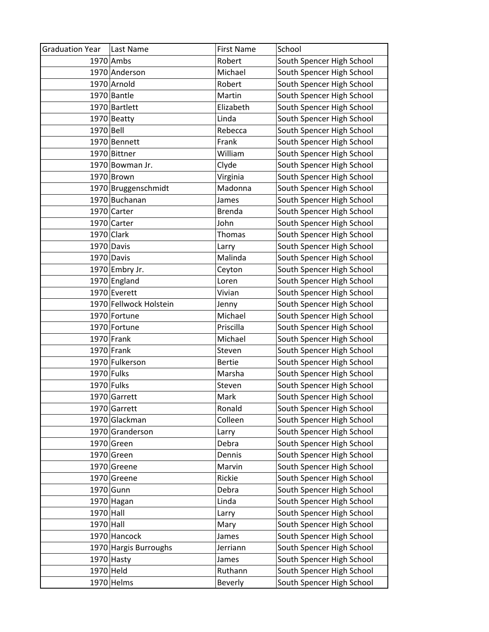| <b>Graduation Year</b> | Last Name              | <b>First Name</b> | School                    |
|------------------------|------------------------|-------------------|---------------------------|
|                        | 1970 Ambs              | Robert            | South Spencer High School |
|                        | 1970 Anderson          | Michael           | South Spencer High School |
|                        | 1970 Arnold            | Robert            | South Spencer High School |
|                        | 1970 Bantle            | Martin            | South Spencer High School |
|                        | 1970 Bartlett          | Elizabeth         | South Spencer High School |
|                        | $1970$ Beatty          | Linda             | South Spencer High School |
| 1970 Bell              |                        | Rebecca           | South Spencer High School |
|                        | 1970 Bennett           | Frank             | South Spencer High School |
|                        | 1970 Bittner           | William           | South Spencer High School |
|                        | 1970 Bowman Jr.        | Clyde             | South Spencer High School |
|                        | $1970$ Brown           | Virginia          | South Spencer High School |
|                        | 1970 Bruggenschmidt    | Madonna           | South Spencer High School |
|                        | 1970 Buchanan          | James             | South Spencer High School |
|                        | 1970 Carter            | <b>Brenda</b>     | South Spencer High School |
|                        | 1970 Carter            | John              | South Spencer High School |
| $1970$ Clark           |                        | Thomas            | South Spencer High School |
|                        | 1970 Davis             | Larry             | South Spencer High School |
|                        | 1970 Davis             | Malinda           | South Spencer High School |
|                        | 1970 Embry Jr.         | Ceyton            | South Spencer High School |
|                        | 1970 England           | Loren             | South Spencer High School |
|                        | 1970 Everett           | Vivian            | South Spencer High School |
|                        | 1970 Fellwock Holstein | Jenny             | South Spencer High School |
|                        | 1970 Fortune           | Michael           | South Spencer High School |
|                        | 1970 Fortune           | Priscilla         | South Spencer High School |
|                        | $1970$ Frank           | Michael           | South Spencer High School |
|                        | $1970$ Frank           | Steven            | South Spencer High School |
|                        | 1970 Fulkerson         | <b>Bertie</b>     | South Spencer High School |
| 1970 Fulks             |                        | Marsha            | South Spencer High School |
| $1970$ Fulks           |                        | Steven            | South Spencer High School |
|                        | 1970 Garrett           | Mark              | South Spencer High School |
|                        | 1970 Garrett           | Ronald            | South Spencer High School |
|                        | 1970 Glackman          | Colleen           | South Spencer High School |
|                        | 1970 Granderson        | Larry             | South Spencer High School |
|                        | 1970 Green             | Debra             | South Spencer High School |
|                        | 1970 Green             | Dennis            | South Spencer High School |
|                        | 1970 Greene            | Marvin            | South Spencer High School |
|                        | 1970 Greene            | Rickie            | South Spencer High School |
|                        | 1970 Gunn              | Debra             | South Spencer High School |
|                        | 1970 Hagan             | Linda             | South Spencer High School |
| 1970 Hall              |                        | Larry             | South Spencer High School |
| $1970$ Hall            |                        | Mary              | South Spencer High School |
|                        | 1970 Hancock           | James             | South Spencer High School |
|                        | 1970 Hargis Burroughs  | Jerriann          | South Spencer High School |
|                        | $1970$ Hasty           | James             | South Spencer High School |
| 1970 Held              |                        | Ruthann           | South Spencer High School |
|                        | $1970$ Helms           | Beverly           | South Spencer High School |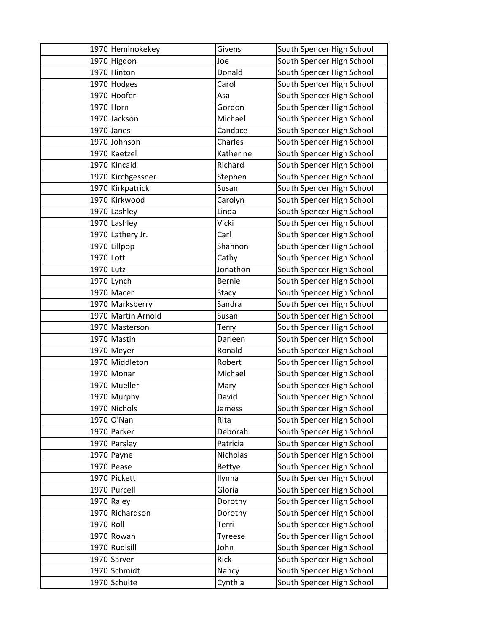|             | 1970 Heminokekey   | Givens        | South Spencer High School |
|-------------|--------------------|---------------|---------------------------|
|             | 1970 Higdon        | Joe           | South Spencer High School |
|             | 1970 Hinton        | Donald        | South Spencer High School |
|             | 1970 Hodges        | Carol         | South Spencer High School |
|             | 1970 Hoofer        | Asa           | South Spencer High School |
| 1970 Horn   |                    | Gordon        | South Spencer High School |
|             | 1970 Jackson       | Michael       | South Spencer High School |
|             | $1970$ Janes       | Candace       | South Spencer High School |
|             | 1970 Johnson       | Charles       | South Spencer High School |
|             | 1970 Kaetzel       | Katherine     | South Spencer High School |
|             | 1970 Kincaid       | Richard       | South Spencer High School |
|             | 1970 Kirchgessner  | Stephen       | South Spencer High School |
|             | 1970 Kirkpatrick   | Susan         | South Spencer High School |
|             | 1970 Kirkwood      | Carolyn       | South Spencer High School |
|             | 1970 Lashley       | Linda         | South Spencer High School |
|             | 1970 Lashley       | Vicki         | South Spencer High School |
|             | 1970 Lathery Jr.   | Carl          | South Spencer High School |
|             | 1970 Lillpop       | Shannon       | South Spencer High School |
| $1970$ Lott |                    | Cathy         | South Spencer High School |
| 1970 Lutz   |                    | Jonathon      | South Spencer High School |
|             | $1970$ Lynch       | <b>Bernie</b> | South Spencer High School |
|             | 1970 Macer         | Stacy         | South Spencer High School |
|             | 1970 Marksberry    | Sandra        | South Spencer High School |
|             | 1970 Martin Arnold | Susan         | South Spencer High School |
|             | 1970 Masterson     | Terry         | South Spencer High School |
|             | 1970 Mastin        | Darleen       | South Spencer High School |
|             | 1970 Meyer         | Ronald        | South Spencer High School |
|             | 1970 Middleton     | Robert        | South Spencer High School |
|             | 1970 Monar         | Michael       | South Spencer High School |
|             | 1970 Mueller       | Mary          | South Spencer High School |
|             | 1970 Murphy        | David         | South Spencer High School |
|             | 1970 Nichols       | Jamess        | South Spencer High School |
|             | 1970 O'Nan         | Rita          | South Spencer High School |
|             | 1970 Parker        | Deborah       | South Spencer High School |
|             | 1970 Parsley       | Patricia      | South Spencer High School |
|             | 1970 Payne         | Nicholas      | South Spencer High School |
|             | 1970 Pease         | Bettye        | South Spencer High School |
|             | 1970 Pickett       | Ilynna        | South Spencer High School |
|             | 1970 Purcell       | Gloria        | South Spencer High School |
|             | $1970$ Raley       | Dorothy       | South Spencer High School |
|             | 1970 Richardson    | Dorothy       | South Spencer High School |
| $1970$ Roll |                    | Terri         | South Spencer High School |
|             | 1970 Rowan         | Tyreese       | South Spencer High School |
|             | 1970 Rudisill      | John          | South Spencer High School |
|             | 1970 Sarver        | Rick          | South Spencer High School |
|             | 1970 Schmidt       | Nancy         | South Spencer High School |
|             | 1970 Schulte       | Cynthia       | South Spencer High School |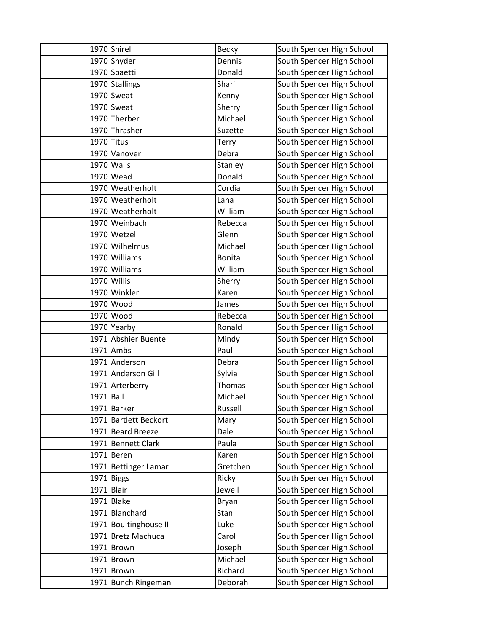|              | 1970 Shirel           | <b>Becky</b>  | South Spencer High School |
|--------------|-----------------------|---------------|---------------------------|
|              | 1970 Snyder           | Dennis        | South Spencer High School |
|              | 1970 Spaetti          | Donald        | South Spencer High School |
|              | 1970 Stallings        | Shari         | South Spencer High School |
|              | 1970 Sweat            | Kenny         | South Spencer High School |
|              | 1970 Sweat            | Sherry        | South Spencer High School |
|              | 1970 Therber          | Michael       | South Spencer High School |
|              | 1970 Thrasher         | Suzette       | South Spencer High School |
| $1970$ Titus |                       | Terry         | South Spencer High School |
|              | 1970 Vanover          | Debra         | South Spencer High School |
|              | 1970 Walls            | Stanley       | South Spencer High School |
|              | 1970 Wead             | Donald        | South Spencer High School |
|              | 1970 Weatherholt      | Cordia        | South Spencer High School |
|              | 1970 Weatherholt      | Lana          | South Spencer High School |
|              | 1970 Weatherholt      | William       | South Spencer High School |
|              | 1970 Weinbach         | Rebecca       | South Spencer High School |
|              | 1970 Wetzel           | Glenn         | South Spencer High School |
|              | 1970 Wilhelmus        | Michael       | South Spencer High School |
|              | 1970 Williams         | <b>Bonita</b> | South Spencer High School |
|              | 1970 Williams         | William       | South Spencer High School |
|              | 1970 Willis           | Sherry        | South Spencer High School |
|              | 1970 Winkler          | Karen         | South Spencer High School |
|              | 1970 Wood             | James         | South Spencer High School |
|              | 1970 Wood             | Rebecca       | South Spencer High School |
|              | 1970 Yearby           | Ronald        | South Spencer High School |
|              | 1971 Abshier Buente   | Mindy         | South Spencer High School |
|              | $1971$ Ambs           | Paul          | South Spencer High School |
|              | 1971 Anderson         | Debra         | South Spencer High School |
|              | 1971 Anderson Gill    | Sylvia        | South Spencer High School |
|              | 1971 Arterberry       | Thomas        | South Spencer High School |
| $1971$ Ball  |                       | Michael       | South Spencer High School |
|              | 1971 Barker           | Russell       | South Spencer High School |
|              | 1971 Bartlett Beckort | Mary          | South Spencer High School |
|              | 1971 Beard Breeze     | Dale          | South Spencer High School |
|              | 1971 Bennett Clark    | Paula         | South Spencer High School |
|              | 1971 Beren            | Karen         | South Spencer High School |
|              | 1971 Bettinger Lamar  | Gretchen      | South Spencer High School |
|              | $1971$ Biggs          | Ricky         | South Spencer High School |
| $1971$ Blair |                       | Jewell        | South Spencer High School |
|              | 1971 Blake            | Bryan         | South Spencer High School |
|              | 1971 Blanchard        | Stan          | South Spencer High School |
|              | 1971 Boultinghouse II | Luke          | South Spencer High School |
|              | 1971 Bretz Machuca    | Carol         | South Spencer High School |
|              | $1971$ Brown          | Joseph        | South Spencer High School |
|              | $1971$ Brown          | Michael       | South Spencer High School |
|              | 1971 Brown            | Richard       | South Spencer High School |
|              | 1971 Bunch Ringeman   | Deborah       | South Spencer High School |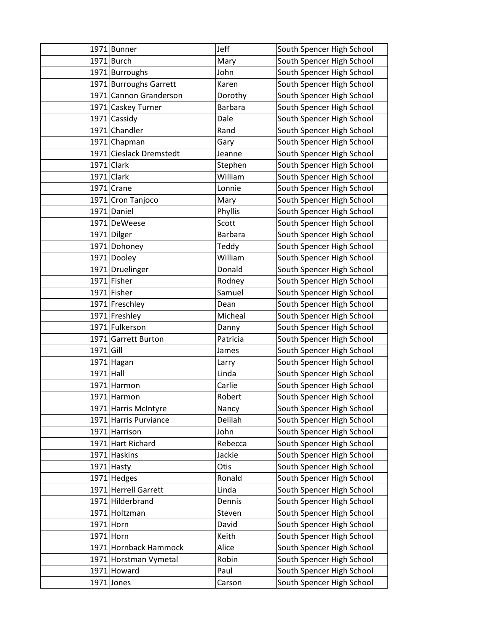|             | 1971 Bunner             | Jeff           | South Spencer High School |
|-------------|-------------------------|----------------|---------------------------|
|             | $1971$ Burch            | Mary           | South Spencer High School |
|             | 1971 Burroughs          | John           | South Spencer High School |
|             | 1971 Burroughs Garrett  | Karen          | South Spencer High School |
|             | 1971 Cannon Granderson  | Dorothy        | South Spencer High School |
|             | 1971 Caskey Turner      | <b>Barbara</b> | South Spencer High School |
|             | 1971 Cassidy            | Dale           | South Spencer High School |
|             | 1971 Chandler           | Rand           | South Spencer High School |
|             | 1971 Chapman            | Gary           | South Spencer High School |
|             | 1971 Cieslack Dremstedt | Jeanne         | South Spencer High School |
|             | $1971$ Clark            | Stephen        | South Spencer High School |
|             | $1971$ Clark            | William        | South Spencer High School |
|             | $1971$ Crane            | Lonnie         | South Spencer High School |
|             | 1971 Cron Tanjoco       | Mary           | South Spencer High School |
|             | 1971 Daniel             | Phyllis        | South Spencer High School |
|             | 1971 DeWeese            | Scott          | South Spencer High School |
|             | 1971 Dilger             | Barbara        | South Spencer High School |
|             | 1971 Dohoney            | Teddy          | South Spencer High School |
|             | 1971 Dooley             | William        | South Spencer High School |
|             | 1971 Druelinger         | Donald         | South Spencer High School |
|             | 1971 Fisher             | Rodney         | South Spencer High School |
|             | 1971 Fisher             | Samuel         | South Spencer High School |
|             | 1971 Freschley          | Dean           | South Spencer High School |
|             | 1971 Freshley           | Micheal        | South Spencer High School |
|             | 1971 Fulkerson          | Danny          | South Spencer High School |
|             | 1971 Garrett Burton     | Patricia       | South Spencer High School |
| $1971$ Gill |                         | James          | South Spencer High School |
|             | 1971 Hagan              | Larry          | South Spencer High School |
| $1971$ Hall |                         | Linda          | South Spencer High School |
|             | 1971 Harmon             | Carlie         | South Spencer High School |
|             | 1971 Harmon             | Robert         | South Spencer High School |
|             | 1971 Harris McIntyre    | Nancy          | South Spencer High School |
|             | 1971 Harris Purviance   | Delilah        | South Spencer High School |
|             | 1971 Harrison           | John           | South Spencer High School |
|             | 1971 Hart Richard       | Rebecca        | South Spencer High School |
|             | 1971 Haskins            | Jackie         | South Spencer High School |
|             | $1971$ Hasty            | Otis           | South Spencer High School |
|             | $1971$ Hedges           | Ronald         | South Spencer High School |
|             | 1971 Herrell Garrett    | Linda          | South Spencer High School |
|             | 1971 Hilderbrand        | Dennis         | South Spencer High School |
|             | 1971 Holtzman           | Steven         | South Spencer High School |
|             | $1971$ Horn             | David          | South Spencer High School |
| $1971$ Horn |                         | Keith          | South Spencer High School |
|             | 1971 Hornback Hammock   | Alice          | South Spencer High School |
|             | 1971 Horstman Vymetal   | Robin          | South Spencer High School |
|             | 1971 Howard             | Paul           | South Spencer High School |
|             | $1971$ Jones            | Carson         | South Spencer High School |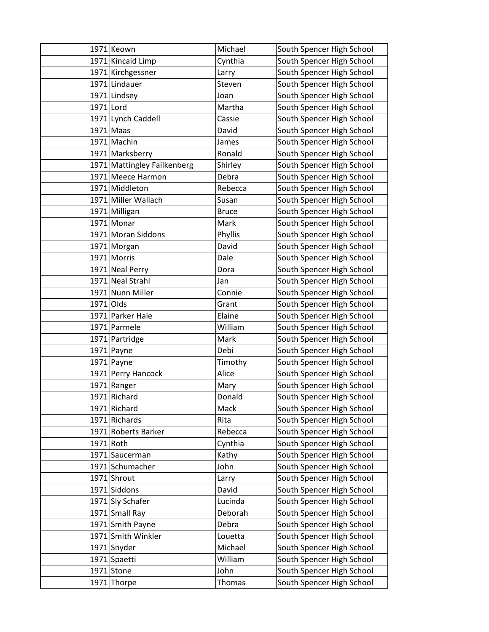|             | 1971 Keown                  | Michael      | South Spencer High School |
|-------------|-----------------------------|--------------|---------------------------|
|             | 1971 Kincaid Limp           | Cynthia      | South Spencer High School |
|             | 1971 Kirchgessner           | Larry        | South Spencer High School |
|             | 1971 Lindauer               | Steven       | South Spencer High School |
|             | 1971 Lindsey                | Joan         | South Spencer High School |
| 1971 Lord   |                             | Martha       | South Spencer High School |
|             | 1971 Lynch Caddell          | Cassie       | South Spencer High School |
|             | $1971$ Maas                 | David        | South Spencer High School |
|             | 1971 Machin                 | James        | South Spencer High School |
|             | 1971 Marksberry             | Ronald       | South Spencer High School |
|             | 1971 Mattingley Failkenberg | Shirley      | South Spencer High School |
|             | 1971 Meece Harmon           | Debra        | South Spencer High School |
|             | 1971 Middleton              | Rebecca      | South Spencer High School |
|             | 1971 Miller Wallach         | Susan        | South Spencer High School |
|             | 1971 Milligan               | <b>Bruce</b> | South Spencer High School |
|             | 1971 Monar                  | Mark         | South Spencer High School |
|             | 1971 Moran Siddons          | Phyllis      | South Spencer High School |
|             | 1971 Morgan                 | David        | South Spencer High School |
|             | 1971 Morris                 | Dale         | South Spencer High School |
|             | 1971 Neal Perry             | Dora         | South Spencer High School |
|             | 1971 Neal Strahl            | Jan          | South Spencer High School |
|             | 1971 Nunn Miller            | Connie       | South Spencer High School |
| 1971 Olds   |                             | Grant        | South Spencer High School |
|             | 1971 Parker Hale            | Elaine       | South Spencer High School |
|             | 1971 Parmele                | William      | South Spencer High School |
|             | 1971 Partridge              | Mark         | South Spencer High School |
|             | $1971$ Payne                | Debi         | South Spencer High School |
|             | $1971$ Payne                | Timothy      | South Spencer High School |
|             | 1971 Perry Hancock          | Alice        | South Spencer High School |
|             | 1971 Ranger                 | Mary         | South Spencer High School |
|             | 1971 Richard                | Donald       | South Spencer High School |
|             | 1971 Richard                | Mack         | South Spencer High School |
|             | 1971 Richards               | Rita         | South Spencer High School |
|             | 1971 Roberts Barker         | Rebecca      | South Spencer High School |
| $1971$ Roth |                             | Cynthia      | South Spencer High School |
|             | 1971 Saucerman              | Kathy        | South Spencer High School |
|             | 1971 Schumacher             | John         | South Spencer High School |
|             | 1971 Shrout                 | Larry        | South Spencer High School |
|             | 1971 Siddons                | David        | South Spencer High School |
|             | 1971 Sly Schafer            | Lucinda      | South Spencer High School |
|             | 1971 Small Ray              | Deborah      | South Spencer High School |
|             | 1971 Smith Payne            | Debra        | South Spencer High School |
|             | 1971 Smith Winkler          | Louetta      | South Spencer High School |
|             | 1971 Snyder                 | Michael      | South Spencer High School |
|             | 1971 Spaetti                | William      | South Spencer High School |
|             | 1971 Stone                  | John         | South Spencer High School |
|             | 1971 Thorpe                 | Thomas       | South Spencer High School |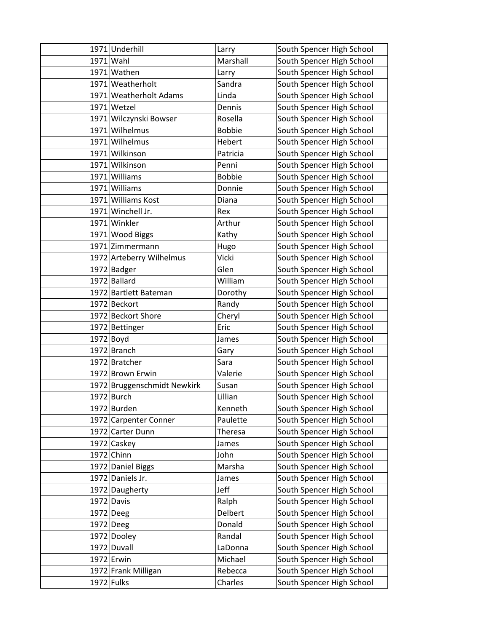| 1971 Underhill               | Larry            | South Spencer High School                              |
|------------------------------|------------------|--------------------------------------------------------|
| 1971 Wahl                    | Marshall         | South Spencer High School                              |
| 1971 Wathen                  | Larry            | South Spencer High School                              |
| 1971 Weatherholt             | Sandra           | South Spencer High School                              |
| 1971 Weatherholt Adams       | Linda            | South Spencer High School                              |
| 1971 Wetzel                  | Dennis           | South Spencer High School                              |
| 1971 Wilczynski Bowser       | Rosella          | South Spencer High School                              |
| 1971 Wilhelmus               | <b>Bobbie</b>    | South Spencer High School                              |
| 1971 Wilhelmus               | Hebert           | South Spencer High School                              |
| 1971 Wilkinson               | Patricia         | South Spencer High School                              |
| 1971 Wilkinson               | Penni            | South Spencer High School                              |
| 1971 Williams                | <b>Bobbie</b>    | South Spencer High School                              |
| 1971 Williams                | Donnie           | South Spencer High School                              |
| 1971 Williams Kost           | Diana            | South Spencer High School                              |
| 1971 Winchell Jr.            | Rex              | South Spencer High School                              |
| 1971 Winkler                 | Arthur           | South Spencer High School                              |
| 1971 Wood Biggs              | Kathy            | South Spencer High School                              |
| 1971 Zimmermann              | Hugo             | South Spencer High School                              |
| 1972 Arteberry Wilhelmus     | Vicki            | South Spencer High School                              |
| 1972 Badger                  | Glen             | South Spencer High School                              |
| 1972 Ballard                 | William          | South Spencer High School                              |
| 1972 Bartlett Bateman        | Dorothy          | South Spencer High School                              |
| 1972 Beckort                 | Randy            | South Spencer High School                              |
| 1972 Beckort Shore           | Cheryl           | South Spencer High School                              |
| 1972 Bettinger               | Eric             | South Spencer High School                              |
| 1972 Boyd                    | James            | South Spencer High School                              |
| 1972 Branch                  | Gary             | South Spencer High School                              |
| 1972 Bratcher                | Sara             | South Spencer High School                              |
| 1972 Brown Erwin             | Valerie          | South Spencer High School                              |
| 1972 Bruggenschmidt Newkirk  | Susan            | South Spencer High School                              |
| $1972$ Burch                 | Lillian          | South Spencer High School                              |
| 1972 Burden                  | Kenneth          | South Spencer High School                              |
| 1972 Carpenter Conner        | Paulette         | South Spencer High School                              |
| 1972 Carter Dunn             | <b>Theresa</b>   | South Spencer High School                              |
| 1972 Caskey                  | James            | South Spencer High School                              |
| 1972 Chinn                   | John             | South Spencer High School                              |
| 1972 Daniel Biggs            | Marsha           | South Spencer High School                              |
| 1972 Daniels Jr.             | James            | South Spencer High School                              |
| 1972 Daugherty<br>1972 Davis | Jeff             | South Spencer High School                              |
| 1972 Deeg                    | Ralph<br>Delbert | South Spencer High School<br>South Spencer High School |
| $1972$ Deeg                  | Donald           | South Spencer High School                              |
| 1972 Dooley                  | Randal           | South Spencer High School                              |
| 1972 Duvall                  | LaDonna          | South Spencer High School                              |
| $1972$ Erwin                 | Michael          | South Spencer High School                              |
| 1972 Frank Milligan          | Rebecca          | South Spencer High School                              |
|                              |                  |                                                        |
| $1972$ Fulks                 | Charles          | South Spencer High School                              |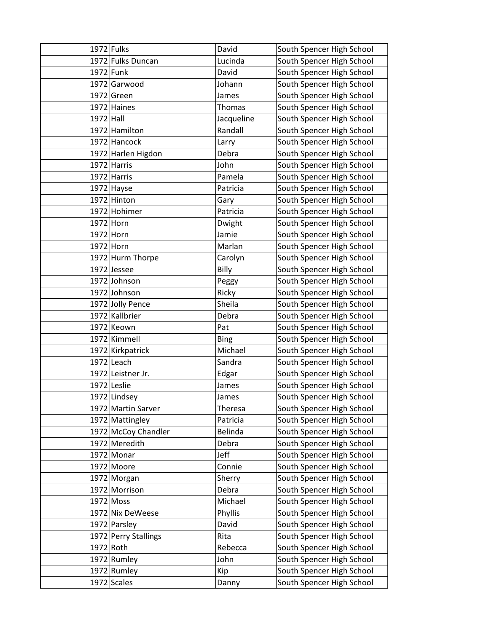| 1972 Fulks  |                      | David       | South Spencer High School |
|-------------|----------------------|-------------|---------------------------|
|             | 1972 Fulks Duncan    | Lucinda     | South Spencer High School |
| 1972 Funk   |                      | David       | South Spencer High School |
|             | 1972 Garwood         | Johann      | South Spencer High School |
|             | 1972 Green           | James       | South Spencer High School |
|             | 1972 Haines          | Thomas      | South Spencer High School |
| $1972$ Hall |                      | Jacqueline  | South Spencer High School |
|             | 1972 Hamilton        | Randall     | South Spencer High School |
|             | 1972 Hancock         | Larry       | South Spencer High School |
|             | 1972 Harlen Higdon   | Debra       | South Spencer High School |
|             | 1972 Harris          | John        | South Spencer High School |
|             | 1972 Harris          | Pamela      | South Spencer High School |
|             | $1972$ Hayse         | Patricia    | South Spencer High School |
|             | 1972 Hinton          | Gary        | South Spencer High School |
|             | 1972 Hohimer         | Patricia    | South Spencer High School |
| $1972$ Horn |                      | Dwight      | South Spencer High School |
| 1972 Horn   |                      | Jamie       | South Spencer High School |
| 1972 Horn   |                      | Marlan      | South Spencer High School |
|             | 1972 Hurm Thorpe     | Carolyn     | South Spencer High School |
|             | 1972 Jessee          | Billy       | South Spencer High School |
|             | 1972 Johnson         | Peggy       | South Spencer High School |
|             | 1972 Johnson         | Ricky       | South Spencer High School |
|             | 1972 Jolly Pence     | Sheila      | South Spencer High School |
|             | 1972 Kallbrier       | Debra       | South Spencer High School |
|             | 1972 Keown           | Pat         | South Spencer High School |
|             | 1972 Kimmell         | <b>Bing</b> | South Spencer High School |
|             | 1972 Kirkpatrick     | Michael     | South Spencer High School |
|             | 1972 Leach           | Sandra      | South Spencer High School |
|             | 1972 Leistner Jr.    | Edgar       | South Spencer High School |
|             | 1972 Leslie          | James       | South Spencer High School |
|             | 1972 Lindsey         | James       | South Spencer High School |
|             | 1972 Martin Sarver   | Theresa     | South Spencer High School |
|             | 1972 Mattingley      | Patricia    | South Spencer High School |
|             | 1972 McCoy Chandler  | Belinda     | South Spencer High School |
|             | 1972 Meredith        | Debra       | South Spencer High School |
|             | $1972$ Monar         | Jeff        | South Spencer High School |
|             | 1972 Moore           | Connie      | South Spencer High School |
|             | 1972 Morgan          | Sherry      | South Spencer High School |
|             | 1972 Morrison        | Debra       | South Spencer High School |
|             | 1972 Moss            | Michael     | South Spencer High School |
|             | 1972 Nix DeWeese     | Phyllis     | South Spencer High School |
|             | 1972 Parsley         | David       | South Spencer High School |
|             | 1972 Perry Stallings | Rita        | South Spencer High School |
| 1972 Roth   |                      | Rebecca     | South Spencer High School |
|             | 1972 Rumley          | John        | South Spencer High School |
|             | 1972 Rumley          | Kip         | South Spencer High School |
|             | 1972 Scales          | Danny       | South Spencer High School |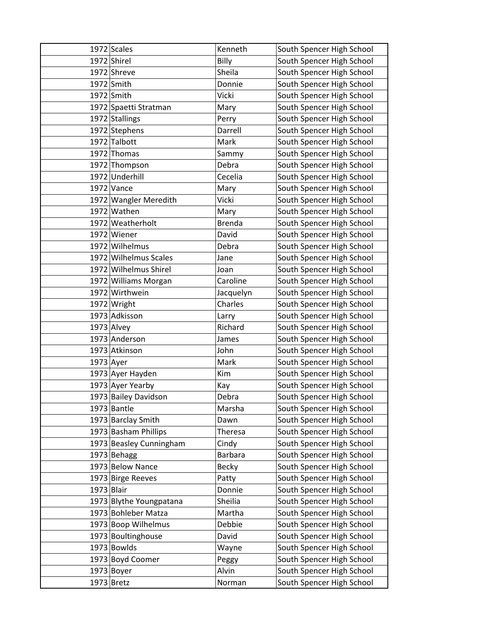|             | 1972 Scales             | Kenneth        | South Spencer High School |
|-------------|-------------------------|----------------|---------------------------|
|             | 1972 Shirel             | Billy          | South Spencer High School |
|             | 1972 Shreve             | Sheila         | South Spencer High School |
|             | 1972 Smith              | Donnie         | South Spencer High School |
|             | 1972 Smith              | Vicki          | South Spencer High School |
|             | 1972 Spaetti Stratman   | Mary           | South Spencer High School |
|             | 1972 Stallings          | Perry          | South Spencer High School |
|             | 1972 Stephens           | Darrell        | South Spencer High School |
|             | 1972 Talbott            | Mark           | South Spencer High School |
|             | 1972 Thomas             | Sammy          | South Spencer High School |
|             | 1972 Thompson           | Debra          | South Spencer High School |
|             | 1972 Underhill          | Cecelia        | South Spencer High School |
|             | $1972$ Vance            | Mary           | South Spencer High School |
|             | 1972 Wangler Meredith   | Vicki          | South Spencer High School |
|             | 1972 Wathen             | Mary           | South Spencer High School |
|             | 1972 Weatherholt        | <b>Brenda</b>  | South Spencer High School |
|             | 1972 Wiener             | David          | South Spencer High School |
|             | 1972 Wilhelmus          | Debra          | South Spencer High School |
|             | 1972 Wilhelmus Scales   | Jane           | South Spencer High School |
|             | 1972 Wilhelmus Shirel   | Joan           | South Spencer High School |
|             | 1972 Williams Morgan    | Caroline       | South Spencer High School |
|             | 1972 Wirthwein          | Jacquelyn      | South Spencer High School |
|             | 1972 Wright             | Charles        | South Spencer High School |
|             | 1973 Adkisson           | Larry          | South Spencer High School |
|             | $1973$ Alvey            | Richard        | South Spencer High School |
|             | 1973 Anderson           | James          | South Spencer High School |
|             | 1973 Atkinson           | John           | South Spencer High School |
| $1973$ Ayer |                         | Mark           | South Spencer High School |
|             | 1973 Ayer Hayden        | Kim            | South Spencer High School |
|             | 1973 Ayer Yearby        | Kay            | South Spencer High School |
|             | 1973 Bailey Davidson    | Debra          | South Spencer High School |
|             | $1973$ Bantle           | Marsha         | South Spencer High School |
|             | 1973 Barclay Smith      | Dawn           | South Spencer High School |
|             | 1973 Basham Phillips    | <b>Theresa</b> | South Spencer High School |
|             | 1973 Beasley Cunningham | Cindy          | South Spencer High School |
|             | 1973 Behagg             | Barbara        | South Spencer High School |
|             | 1973 Below Nance        | <b>Becky</b>   | South Spencer High School |
|             | 1973 Birge Reeves       | Patty          | South Spencer High School |
| 1973 Blair  |                         | Donnie         | South Spencer High School |
|             | 1973 Blythe Youngpatana | Sheilia        | South Spencer High School |
|             | 1973 Bohleber Matza     | Martha         | South Spencer High School |
|             | 1973 Boop Wilhelmus     | Debbie         | South Spencer High School |
|             | 1973 Boultinghouse      | David          | South Spencer High School |
|             | 1973 Bowlds             | Wayne          | South Spencer High School |
|             | 1973 Boyd Coomer        | Peggy          | South Spencer High School |
|             | 1973 Boyer              | Alvin          | South Spencer High School |
|             | $1973$ Bretz            | Norman         | South Spencer High School |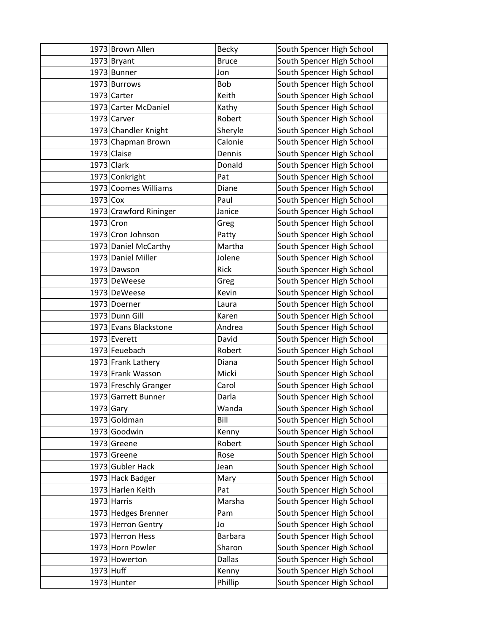|             | 1973 Brown Allen       | <b>Becky</b>   | South Spencer High School |
|-------------|------------------------|----------------|---------------------------|
|             | $1973$ Bryant          | <b>Bruce</b>   | South Spencer High School |
|             | 1973 Bunner            | Jon            | South Spencer High School |
|             | 1973 Burrows           | Bob            | South Spencer High School |
|             | 1973 Carter            | Keith          | South Spencer High School |
|             | 1973 Carter McDaniel   | Kathy          | South Spencer High School |
|             | 1973 Carver            | Robert         | South Spencer High School |
|             | 1973 Chandler Knight   | Sheryle        | South Spencer High School |
|             | 1973 Chapman Brown     | Calonie        | South Spencer High School |
|             | $1973$ Claise          | Dennis         | South Spencer High School |
|             | $1973$ Clark           | Donald         | South Spencer High School |
|             | 1973 Conkright         | Pat            | South Spencer High School |
|             | 1973 Coomes Williams   | Diane          | South Spencer High School |
| 1973 Cox    |                        | Paul           | South Spencer High School |
|             | 1973 Crawford Rininger | Janice         | South Spencer High School |
| 1973 Cron   |                        | Greg           | South Spencer High School |
|             | 1973 Cron Johnson      | Patty          | South Spencer High School |
|             | 1973 Daniel McCarthy   | Martha         | South Spencer High School |
|             | 1973 Daniel Miller     | Jolene         | South Spencer High School |
|             | 1973 Dawson            | Rick           | South Spencer High School |
|             | 1973 DeWeese           | Greg           | South Spencer High School |
|             | 1973 DeWeese           | Kevin          | South Spencer High School |
|             | 1973 Doerner           | Laura          | South Spencer High School |
|             | 1973 Dunn Gill         | Karen          | South Spencer High School |
|             | 1973 Evans Blackstone  | Andrea         | South Spencer High School |
|             | 1973 Everett           | David          | South Spencer High School |
|             | 1973 Feuebach          | Robert         | South Spencer High School |
|             | 1973 Frank Lathery     | Diana          | South Spencer High School |
|             | 1973 Frank Wasson      | Micki          | South Spencer High School |
|             | 1973 Freschly Granger  | Carol          | South Spencer High School |
|             | 1973 Garrett Bunner    | Darla          | South Spencer High School |
| $1973$ Gary |                        | Wanda          | South Spencer High School |
|             | 1973 Goldman           | Bill           | South Spencer High School |
|             | 1973 Goodwin           | Kenny          | South Spencer High School |
|             | 1973 Greene            | Robert         | South Spencer High School |
|             | 1973 Greene            | Rose           | South Spencer High School |
|             | 1973 Gubler Hack       | Jean           | South Spencer High School |
|             | 1973 Hack Badger       | Mary           | South Spencer High School |
|             | 1973 Harlen Keith      | Pat            | South Spencer High School |
|             | 1973 Harris            | Marsha         | South Spencer High School |
|             | 1973 Hedges Brenner    | Pam            | South Spencer High School |
|             | 1973 Herron Gentry     | Jo             | South Spencer High School |
|             | 1973 Herron Hess       | <b>Barbara</b> | South Spencer High School |
|             | 1973 Horn Powler       | Sharon         | South Spencer High School |
|             | 1973 Howerton          | <b>Dallas</b>  | South Spencer High School |
| 1973 Huff   |                        | Kenny          | South Spencer High School |
|             | 1973 Hunter            | Phillip        | South Spencer High School |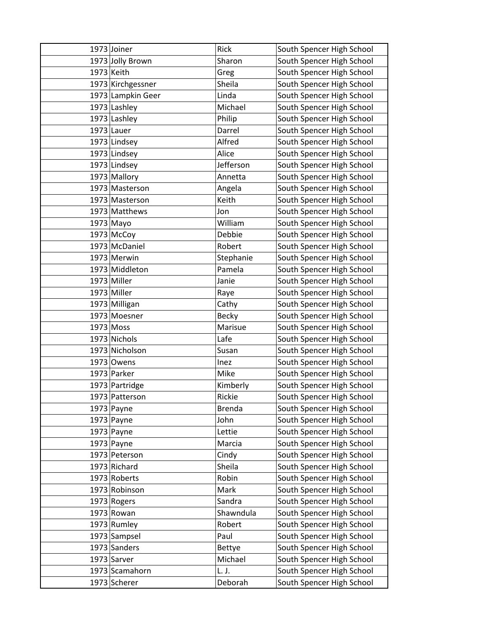| 1973 Joiner       | Rick          | South Spencer High School |
|-------------------|---------------|---------------------------|
| 1973 Jolly Brown  | Sharon        | South Spencer High School |
| 1973 Keith        | Greg          | South Spencer High School |
| 1973 Kirchgessner | Sheila        | South Spencer High School |
| 1973 Lampkin Geer | Linda         | South Spencer High School |
| 1973 Lashley      | Michael       | South Spencer High School |
| 1973 Lashley      | Philip        | South Spencer High School |
| $1973$ Lauer      | Darrel        | South Spencer High School |
| 1973 Lindsey      | Alfred        | South Spencer High School |
| 1973 Lindsey      | Alice         | South Spencer High School |
| 1973 Lindsey      | Jefferson     | South Spencer High School |
| 1973 Mallory      | Annetta       | South Spencer High School |
| 1973 Masterson    | Angela        | South Spencer High School |
| 1973 Masterson    | Keith         | South Spencer High School |
| 1973 Matthews     | Jon           | South Spencer High School |
| $1973$ Mayo       | William       | South Spencer High School |
| $1973$ McCoy      | Debbie        | South Spencer High School |
| 1973 McDaniel     | Robert        | South Spencer High School |
| 1973 Merwin       | Stephanie     | South Spencer High School |
| 1973 Middleton    | Pamela        | South Spencer High School |
| 1973 Miller       | Janie         | South Spencer High School |
| $1973$ Miller     | Raye          | South Spencer High School |
| 1973 Milligan     | Cathy         | South Spencer High School |
| 1973 Moesner      | Becky         | South Spencer High School |
| 1973 Moss         | Marisue       | South Spencer High School |
| 1973 Nichols      | Lafe          | South Spencer High School |
| 1973 Nicholson    | Susan         | South Spencer High School |
| $1973$ Owens      | Inez          | South Spencer High School |
| 1973 Parker       | Mike          | South Spencer High School |
| 1973 Partridge    | Kimberly      | South Spencer High School |
| 1973 Patterson    | Rickie        | South Spencer High School |
| $1973$ Payne      | <b>Brenda</b> | South Spencer High School |
| $1973$ Payne      | John          | South Spencer High School |
| $1973$ Payne      | Lettie        | South Spencer High School |
| $1973$ Payne      | Marcia        | South Spencer High School |
| 1973 Peterson     | Cindy         | South Spencer High School |
| 1973 Richard      | Sheila        | South Spencer High School |
| 1973 Roberts      | Robin         | South Spencer High School |
| 1973 Robinson     | Mark          | South Spencer High School |
| 1973 Rogers       | Sandra        | South Spencer High School |
| $1973$ Rowan      | Shawndula     | South Spencer High School |
| 1973 Rumley       | Robert        | South Spencer High School |
| 1973 Sampsel      | Paul          | South Spencer High School |
| 1973 Sanders      | Bettye        | South Spencer High School |
| 1973 Sarver       | Michael       | South Spencer High School |
| 1973 Scamahorn    | L. J.         | South Spencer High School |
| 1973 Scherer      | Deborah       | South Spencer High School |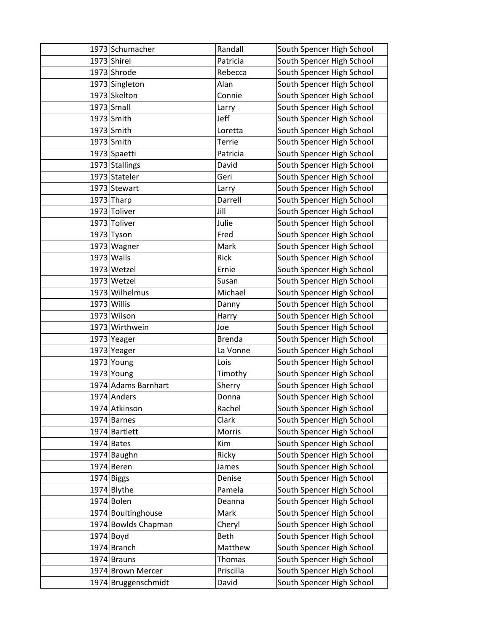| 1973 Schumacher     | Randall       | South Spencer High School |
|---------------------|---------------|---------------------------|
| 1973 Shirel         | Patricia      | South Spencer High School |
| 1973 Shrode         | Rebecca       | South Spencer High School |
| 1973 Singleton      | Alan          | South Spencer High School |
| 1973 Skelton        | Connie        | South Spencer High School |
| 1973 Small          | Larry         | South Spencer High School |
| $1973$ Smith        | Jeff          | South Spencer High School |
| $1973$ Smith        | Loretta       | South Spencer High School |
| $1973$ Smith        | Terrie        | South Spencer High School |
| 1973 Spaetti        | Patricia      | South Spencer High School |
| 1973 Stallings      | David         | South Spencer High School |
| 1973 Stateler       | Geri          | South Spencer High School |
| 1973 Stewart        | Larry         | South Spencer High School |
| $1973$ Tharp        | Darrell       | South Spencer High School |
| 1973 Toliver        | Jill          | South Spencer High School |
| 1973 Toliver        | Julie         | South Spencer High School |
| $1973$ Tyson        | Fred          | South Spencer High School |
| 1973 Wagner         | Mark          | South Spencer High School |
| $1973$ Walls        | Rick          | South Spencer High School |
| 1973 Wetzel         | Ernie         | South Spencer High School |
| 1973 Wetzel         | Susan         | South Spencer High School |
| 1973 Wilhelmus      | Michael       | South Spencer High School |
| 1973 Willis         | Danny         | South Spencer High School |
| 1973 Wilson         | Harry         | South Spencer High School |
| 1973 Wirthwein      | Joe           | South Spencer High School |
| 1973 Yeager         | <b>Brenda</b> | South Spencer High School |
| 1973 Yeager         | La Vonne      | South Spencer High School |
| 1973 Young          | Lois          | South Spencer High School |
| 1973 Young          | Timothy       | South Spencer High School |
| 1974 Adams Barnhart | Sherry        | South Spencer High School |
| 1974 Anders         | Donna         | South Spencer High School |
| 1974 Atkinson       | Rachel        | South Spencer High School |
| 1974 Barnes         | Clark         | South Spencer High School |
| 1974 Bartlett       | Morris        | South Spencer High School |
| $1974$ Bates        | Kim           | South Spencer High School |
| 1974 Baughn         | Ricky         | South Spencer High School |
| $1974$ Beren        | James         | South Spencer High School |
| $1974$ Biggs        | Denise        | South Spencer High School |
| 1974 Blythe         | Pamela        | South Spencer High School |
| 1974 Bolen          | Deanna        | South Spencer High School |
| 1974 Boultinghouse  | Mark          | South Spencer High School |
| 1974 Bowlds Chapman | Cheryl        | South Spencer High School |
| $1974$ Boyd         | Beth          | South Spencer High School |
| 1974 Branch         | Matthew       | South Spencer High School |
| $1974$ Brauns       | Thomas        | South Spencer High School |
| 1974 Brown Mercer   | Priscilla     | South Spencer High School |
| 1974 Bruggenschmidt | David         | South Spencer High School |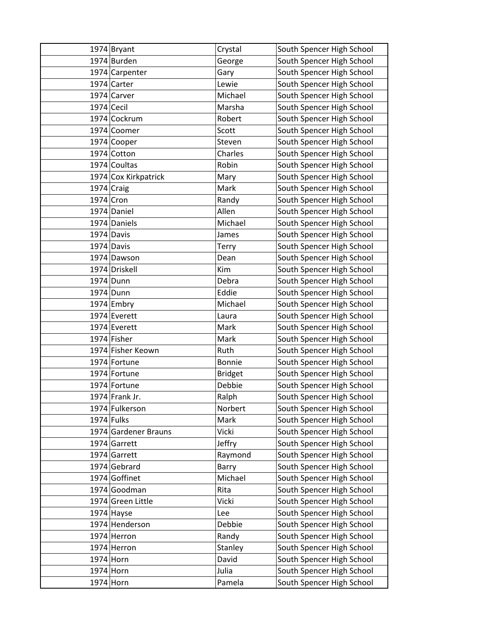|              | 1974 Bryant          | Crystal        | South Spencer High School |
|--------------|----------------------|----------------|---------------------------|
|              | 1974 Burden          | George         | South Spencer High School |
|              | 1974 Carpenter       | Gary           | South Spencer High School |
|              | 1974 Carter          | Lewie          | South Spencer High School |
|              | 1974 Carver          | Michael        | South Spencer High School |
| $1974$ Cecil |                      | Marsha         | South Spencer High School |
|              | 1974 Cockrum         | Robert         | South Spencer High School |
|              | 1974 Coomer          | Scott          | South Spencer High School |
|              | 1974 Cooper          | Steven         | South Spencer High School |
|              | 1974 Cotton          | Charles        | South Spencer High School |
|              | 1974 Coultas         | Robin          | South Spencer High School |
|              | 1974 Cox Kirkpatrick | Mary           | South Spencer High School |
| $1974$ Craig |                      | Mark           | South Spencer High School |
| 1974 Cron    |                      | Randy          | South Spencer High School |
|              | 1974 Daniel          | Allen          | South Spencer High School |
|              | 1974 Daniels         | Michael        | South Spencer High School |
|              | 1974 Davis           | James          | South Spencer High School |
|              | 1974 Davis           | Terry          | South Spencer High School |
|              | 1974 Dawson          | Dean           | South Spencer High School |
|              | 1974 Driskell        | Kim            | South Spencer High School |
|              | 1974 Dunn            | Debra          | South Spencer High School |
|              | 1974 Dunn            | Eddie          | South Spencer High School |
|              | $1974$ Embry         | Michael        | South Spencer High School |
|              | 1974 Everett         | Laura          | South Spencer High School |
|              | 1974 Everett         | Mark           | South Spencer High School |
|              | 1974 Fisher          | Mark           | South Spencer High School |
|              | 1974 Fisher Keown    | Ruth           | South Spencer High School |
|              | 1974 Fortune         | Bonnie         | South Spencer High School |
|              | 1974 Fortune         | <b>Bridget</b> | South Spencer High School |
|              | 1974 Fortune         | Debbie         | South Spencer High School |
|              | 1974 Frank Jr.       | Ralph          | South Spencer High School |
|              | 1974 Fulkerson       | Norbert        | South Spencer High School |
| $1974$ Fulks |                      | Mark           | South Spencer High School |
|              | 1974 Gardener Brauns | Vicki          | South Spencer High School |
|              | 1974 Garrett         | Jeffry         | South Spencer High School |
|              | 1974 Garrett         | Raymond        | South Spencer High School |
|              | 1974 Gebrard         | Barry          | South Spencer High School |
|              | 1974 Goffinet        | Michael        | South Spencer High School |
|              | 1974 Goodman         | Rita           | South Spencer High School |
|              | 1974 Green Little    | Vicki          | South Spencer High School |
|              | $1974$ Hayse         | Lee            | South Spencer High School |
|              | 1974 Henderson       | Debbie         | South Spencer High School |
|              | 1974 Herron          | Randy          | South Spencer High School |
|              | 1974 Herron          | Stanley        | South Spencer High School |
| 1974 Horn    |                      | David          | South Spencer High School |
| 1974 Horn    |                      | Julia          | South Spencer High School |
| 1974 Horn    |                      | Pamela         | South Spencer High School |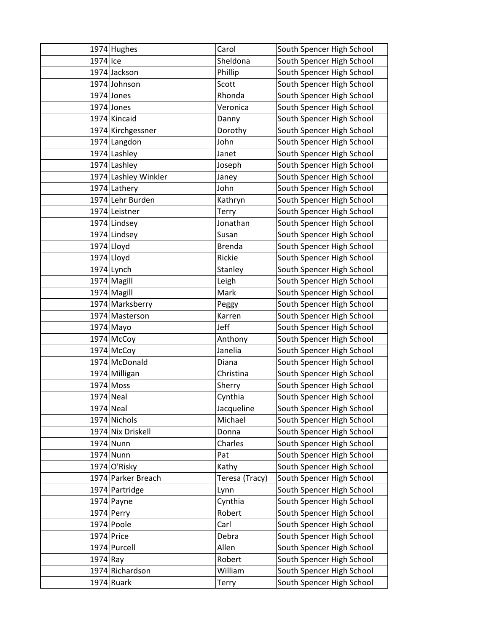|              | 1974 Hughes                | Carol           | South Spencer High School                              |
|--------------|----------------------------|-----------------|--------------------------------------------------------|
| 1974 Ice     |                            | Sheldona        | South Spencer High School                              |
|              | 1974 Jackson               | Phillip         | South Spencer High School                              |
|              | 1974 Johnson               | Scott           | South Spencer High School                              |
|              | $1974$ Jones               | Rhonda          | South Spencer High School                              |
|              | $1974$ Jones               | Veronica        | South Spencer High School                              |
|              | 1974 Kincaid               | Danny           | South Spencer High School                              |
|              | 1974 Kirchgessner          | Dorothy         | South Spencer High School                              |
|              | 1974 Langdon               | John            | South Spencer High School                              |
|              | 1974 Lashley               | Janet           | South Spencer High School                              |
|              | 1974 Lashley               | Joseph          | South Spencer High School                              |
|              | 1974 Lashley Winkler       | Janey           | South Spencer High School                              |
|              | 1974 Lathery               | John            | South Spencer High School                              |
|              | 1974 Lehr Burden           | Kathryn         | South Spencer High School                              |
|              | 1974 Leistner              | Terry           | South Spencer High School                              |
|              | 1974 Lindsey               | Jonathan        | South Spencer High School                              |
|              | 1974 Lindsey               | Susan           | South Spencer High School                              |
|              | $1974$ Lloyd               | <b>Brenda</b>   | South Spencer High School                              |
|              | $1974$ Lloyd               | Rickie          | South Spencer High School                              |
|              | $1974$ Lynch               | Stanley         | South Spencer High School                              |
|              | 1974 Magill                | Leigh           | South Spencer High School                              |
|              | 1974 Magill                | Mark            | South Spencer High School                              |
|              | 1974 Marksberry            | Peggy           | South Spencer High School                              |
|              | 1974 Masterson             | Karren          | South Spencer High School                              |
|              | $1974$ Mayo                | Jeff            | South Spencer High School                              |
|              | 1974 McCoy                 | Anthony         | South Spencer High School                              |
|              | $1974$ McCoy               | Janelia         | South Spencer High School                              |
|              | 1974 McDonald              | Diana           | South Spencer High School                              |
|              | 1974 Milligan              | Christina       | South Spencer High School                              |
|              | 1974 Moss                  | Sherry          | South Spencer High School                              |
| 1974 Neal    |                            | Cynthia         | South Spencer High School                              |
| $1974$ Neal  |                            | Jacqueline      | South Spencer High School                              |
|              | 1974 Nichols               | Michael         | South Spencer High School                              |
|              | 1974 Nix Driskell          | Donna           | South Spencer High School                              |
|              | 1974 Nunn                  | Charles         | South Spencer High School                              |
|              | 1974 Nunn                  | Pat             | South Spencer High School                              |
|              | 1974 O'Risky               | Kathy           | South Spencer High School                              |
|              | 1974 Parker Breach         | Teresa (Tracy)  | South Spencer High School                              |
|              | 1974 Partridge             | Lynn<br>Cynthia | South Spencer High School                              |
|              | $1974$ Payne<br>1974 Perry | Robert          | South Spencer High School<br>South Spencer High School |
|              | 1974 Poole                 | Carl            | South Spencer High School                              |
| $1974$ Price |                            | Debra           | South Spencer High School                              |
|              | 1974 Purcell               | Allen           | South Spencer High School                              |
| $1974$ Ray   |                            | Robert          | South Spencer High School                              |
|              | 1974 Richardson            | William         | South Spencer High School                              |
|              | $1974$ Ruark               |                 |                                                        |
|              |                            | Terry           | South Spencer High School                              |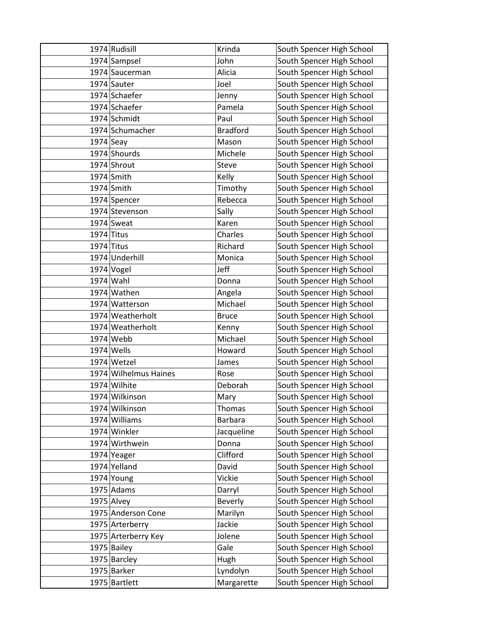|              | 1974 Rudisill         | Krinda          | South Spencer High School |
|--------------|-----------------------|-----------------|---------------------------|
|              | 1974 Sampsel          | John            | South Spencer High School |
|              | 1974 Saucerman        | Alicia          | South Spencer High School |
|              | 1974 Sauter           | Joel            | South Spencer High School |
|              | 1974 Schaefer         | Jenny           | South Spencer High School |
|              | 1974 Schaefer         | Pamela          | South Spencer High School |
|              | 1974 Schmidt          | Paul            | South Spencer High School |
|              | 1974 Schumacher       | <b>Bradford</b> | South Spencer High School |
| $1974$ Seay  |                       | Mason           | South Spencer High School |
|              | 1974 Shourds          | Michele         | South Spencer High School |
|              | 1974 Shrout           | Steve           | South Spencer High School |
|              | 1974 Smith            | Kelly           | South Spencer High School |
|              | 1974 Smith            | Timothy         | South Spencer High School |
|              | 1974 Spencer          | Rebecca         | South Spencer High School |
|              | 1974 Stevenson        | Sally           | South Spencer High School |
|              | 1974 Sweat            | Karen           | South Spencer High School |
| $1974$ Titus |                       | Charles         | South Spencer High School |
|              | $1974$ Titus          | Richard         | South Spencer High School |
|              | 1974 Underhill        | Monica          | South Spencer High School |
|              | $1974$ Vogel          | Jeff            | South Spencer High School |
|              | 1974 Wahl             | Donna           | South Spencer High School |
|              | 1974 Wathen           | Angela          | South Spencer High School |
|              | 1974 Watterson        | Michael         | South Spencer High School |
|              | 1974 Weatherholt      | <b>Bruce</b>    | South Spencer High School |
|              | 1974 Weatherholt      | Kenny           | South Spencer High School |
|              | $1974$ Webb           | Michael         | South Spencer High School |
|              | $1974$ Wells          | Howard          | South Spencer High School |
|              | 1974 Wetzel           | James           | South Spencer High School |
|              | 1974 Wilhelmus Haines | Rose            | South Spencer High School |
|              | 1974 Wilhite          | Deborah         | South Spencer High School |
|              | 1974 Wilkinson        | Mary            | South Spencer High School |
|              | 1974 Wilkinson        | <b>Thomas</b>   | South Spencer High School |
|              | 1974 Williams         | <b>Barbara</b>  | South Spencer High School |
|              | 1974 Winkler          | Jacqueline      | South Spencer High School |
|              | 1974 Wirthwein        | Donna           | South Spencer High School |
|              | 1974 Yeager           | Clifford        | South Spencer High School |
|              | 1974 Yelland          | David           | South Spencer High School |
|              | 1974 Young            | Vickie          | South Spencer High School |
|              | $1975$ Adams          | Darryl          | South Spencer High School |
|              | $1975$ Alvey          | <b>Beverly</b>  | South Spencer High School |
|              | 1975 Anderson Cone    | Marilyn         | South Spencer High School |
|              | 1975 Arterberry       | Jackie          | South Spencer High School |
|              | 1975 Arterberry Key   | Jolene          | South Spencer High School |
|              | 1975 Bailey           | Gale            | South Spencer High School |
|              | 1975 Barcley          | Hugh            | South Spencer High School |
|              | 1975 Barker           | Lyndolyn        | South Spencer High School |
|              | 1975 Bartlett         | Margarette      | South Spencer High School |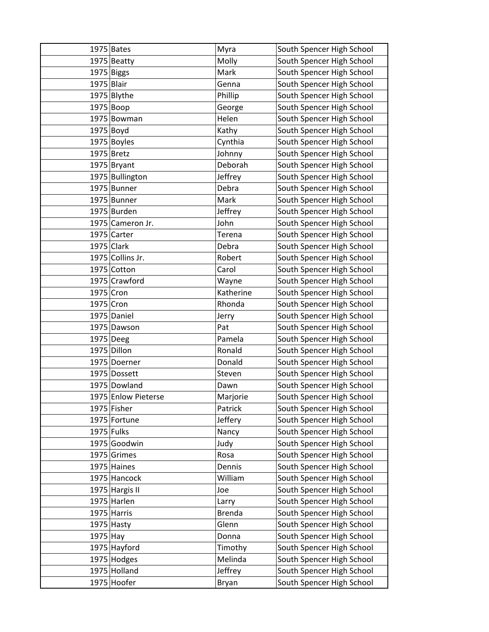|              | $1975$ Bates        | Myra          | South Spencer High School |
|--------------|---------------------|---------------|---------------------------|
|              | 1975 Beatty         | Molly         | South Spencer High School |
|              | $1975$ Biggs        | Mark          | South Spencer High School |
| 1975 Blair   |                     | Genna         | South Spencer High School |
|              | 1975 Blythe         | Phillip       | South Spencer High School |
| $1975 $ Boop |                     | George        | South Spencer High School |
|              | 1975 Bowman         | Helen         | South Spencer High School |
| $1975$ Boyd  |                     | Kathy         | South Spencer High School |
|              | 1975 Boyles         | Cynthia       | South Spencer High School |
|              | $1975$ Bretz        | Johnny        | South Spencer High School |
|              | 1975 Bryant         | Deborah       | South Spencer High School |
|              | 1975 Bullington     | Jeffrey       | South Spencer High School |
|              | 1975 Bunner         | Debra         | South Spencer High School |
|              | 1975 Bunner         | Mark          | South Spencer High School |
|              | 1975 Burden         | Jeffrey       | South Spencer High School |
|              | 1975 Cameron Jr.    | John          | South Spencer High School |
|              | 1975 Carter         | Terena        | South Spencer High School |
|              | 1975 Clark          | Debra         | South Spencer High School |
|              | 1975 Collins Jr.    | Robert        | South Spencer High School |
|              | 1975 Cotton         | Carol         | South Spencer High School |
|              | 1975 Crawford       | Wayne         | South Spencer High School |
| 1975 Cron    |                     | Katherine     | South Spencer High School |
| 1975 Cron    |                     | Rhonda        | South Spencer High School |
|              | 1975 Daniel         | Jerry         | South Spencer High School |
|              | 1975 Dawson         | Pat           | South Spencer High School |
|              | 1975 Deeg           | Pamela        | South Spencer High School |
|              | 1975 Dillon         | Ronald        | South Spencer High School |
|              | 1975 Doerner        | Donald        | South Spencer High School |
|              | 1975 Dossett        | Steven        | South Spencer High School |
|              | 1975 Dowland        | Dawn          | South Spencer High School |
|              | 1975 Enlow Pieterse | Marjorie      | South Spencer High School |
|              | 1975 Fisher         | Patrick       | South Spencer High School |
|              | 1975 Fortune        | Jeffery       | South Spencer High School |
| 1975 Fulks   |                     | Nancy         | South Spencer High School |
|              | 1975 Goodwin        | Judy          | South Spencer High School |
|              | 1975 Grimes         | Rosa          | South Spencer High School |
|              | 1975 Haines         | Dennis        | South Spencer High School |
|              | 1975 Hancock        | William       | South Spencer High School |
|              | 1975 Hargis II      | Joe           | South Spencer High School |
|              | 1975 Harlen         | Larry         | South Spencer High School |
|              | 1975 Harris         | <b>Brenda</b> | South Spencer High School |
|              | $1975$ Hasty        | Glenn         | South Spencer High School |
| 1975 Hay     |                     | Donna         | South Spencer High School |
|              | 1975 Hayford        | Timothy       | South Spencer High School |
|              | 1975 Hodges         | Melinda       | South Spencer High School |
|              | 1975 Holland        | Jeffrey       | South Spencer High School |
|              | 1975 Hoofer         | Bryan         | South Spencer High School |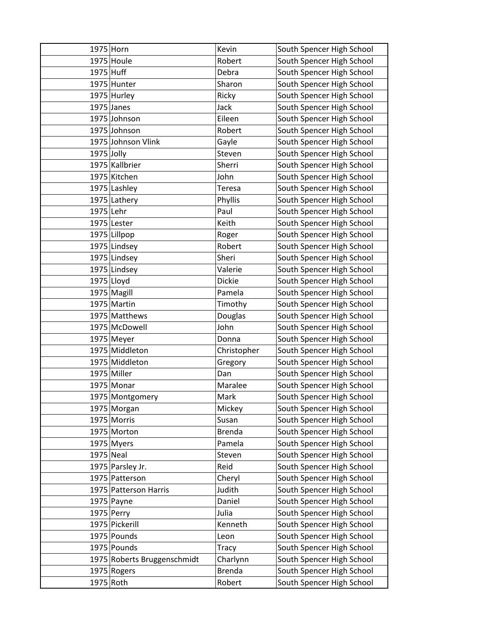| 1975 Horn    |                                       | Kevin            | South Spencer High School                              |
|--------------|---------------------------------------|------------------|--------------------------------------------------------|
|              | 1975 Houle                            | Robert           | South Spencer High School                              |
| 1975 Huff    |                                       | Debra            | South Spencer High School                              |
|              | 1975 Hunter                           | Sharon           | South Spencer High School                              |
|              | 1975 Hurley                           | Ricky            | South Spencer High School                              |
|              | $1975$ Janes                          | Jack             | South Spencer High School                              |
|              | 1975 Johnson                          | Eileen           | South Spencer High School                              |
|              | 1975 Johnson                          | Robert           | South Spencer High School                              |
|              | 1975 Johnson Vlink                    | Gayle            | South Spencer High School                              |
| $1975$ Jolly |                                       | Steven           | South Spencer High School                              |
|              | 1975 Kallbrier                        | Sherri           | South Spencer High School                              |
|              | 1975 Kitchen                          | John             | South Spencer High School                              |
|              | 1975 Lashley                          | Teresa           | South Spencer High School                              |
|              | 1975 Lathery                          | Phyllis          | South Spencer High School                              |
| 1975 Lehr    |                                       | Paul             | South Spencer High School                              |
|              | 1975 Lester                           | Keith            | South Spencer High School                              |
|              | 1975 Lillpop                          | Roger            | South Spencer High School                              |
|              | 1975 Lindsey                          | Robert           | South Spencer High School                              |
|              | 1975 Lindsey                          | Sheri            | South Spencer High School                              |
|              | 1975 Lindsey                          | Valerie          | South Spencer High School                              |
|              | $1975$ Lloyd                          | <b>Dickie</b>    | South Spencer High School                              |
|              | 1975 Magill                           | Pamela           | South Spencer High School                              |
|              | 1975 Martin                           | Timothy          | South Spencer High School                              |
|              | 1975 Matthews                         | Douglas          | South Spencer High School                              |
|              | 1975 McDowell                         | John             | South Spencer High School                              |
|              | 1975 Meyer                            | Donna            | South Spencer High School                              |
|              | 1975 Middleton                        | Christopher      | South Spencer High School                              |
|              | 1975 Middleton                        | Gregory          | South Spencer High School                              |
|              | 1975 Miller                           | Dan              | South Spencer High School                              |
|              | 1975 Monar                            | Maralee          | South Spencer High School                              |
|              | 1975 Montgomery                       | Mark             | South Spencer High School                              |
|              | 1975 Morgan                           | Mickey           | South Spencer High School                              |
|              | 1975 Morris                           | Susan            | South Spencer High School                              |
|              | 1975 Morton                           | <b>Brenda</b>    | South Spencer High School                              |
|              | 1975 Myers                            | Pamela           | South Spencer High School                              |
| 1975 Neal    |                                       | Steven           | South Spencer High School                              |
|              | 1975 Parsley Jr.                      | Reid             | South Spencer High School                              |
|              | 1975 Patterson                        | Cheryl           | South Spencer High School                              |
|              | 1975 Patterson Harris<br>$1975$ Payne | Judith<br>Daniel | South Spencer High School<br>South Spencer High School |
|              | $1975$ Perry                          | Julia            | South Spencer High School                              |
|              | 1975 Pickerill                        | Kenneth          | South Spencer High School                              |
|              | 1975 Pounds                           | Leon             | South Spencer High School                              |
|              | 1975 Pounds                           | <b>Tracy</b>     | South Spencer High School                              |
|              | 1975 Roberts Bruggenschmidt           | Charlynn         | South Spencer High School                              |
|              | 1975 Rogers                           | <b>Brenda</b>    | South Spencer High School                              |
| 1975 Roth    |                                       | Robert           | South Spencer High School                              |
|              |                                       |                  |                                                        |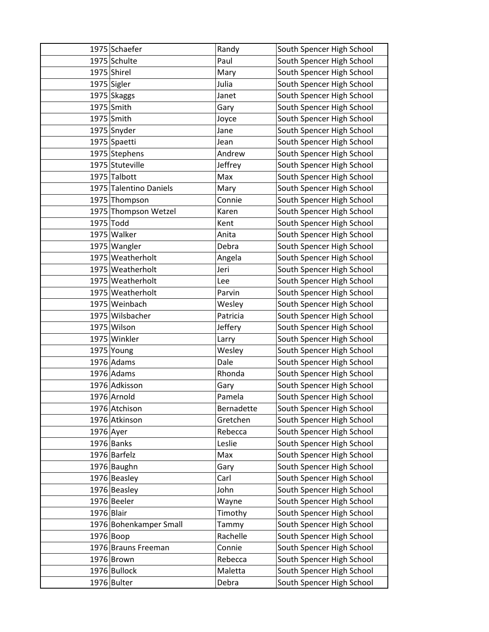|            | 1975 Schaefer          | Randy      | South Spencer High School |
|------------|------------------------|------------|---------------------------|
|            | 1975 Schulte           | Paul       | South Spencer High School |
|            | 1975 Shirel            | Mary       | South Spencer High School |
|            | 1975 Sigler            | Julia      | South Spencer High School |
|            | 1975 Skaggs            | Janet      | South Spencer High School |
|            | $1975$ Smith           | Gary       | South Spencer High School |
|            | 1975 Smith             | Joyce      | South Spencer High School |
|            | 1975 Snyder            | Jane       | South Spencer High School |
|            | 1975 Spaetti           | Jean       | South Spencer High School |
|            | 1975 Stephens          | Andrew     | South Spencer High School |
|            | 1975 Stuteville        | Jeffrey    | South Spencer High School |
|            | 1975 Talbott           | Max        | South Spencer High School |
|            | 1975 Talentino Daniels | Mary       | South Spencer High School |
|            | 1975 Thompson          | Connie     | South Spencer High School |
|            | 1975 Thompson Wetzel   | Karen      | South Spencer High School |
|            | 1975 Todd              | Kent       | South Spencer High School |
|            | 1975 Walker            | Anita      | South Spencer High School |
|            | 1975 Wangler           | Debra      | South Spencer High School |
|            | 1975 Weatherholt       | Angela     | South Spencer High School |
|            | 1975 Weatherholt       | Jeri       | South Spencer High School |
|            | 1975 Weatherholt       | Lee        | South Spencer High School |
|            | 1975 Weatherholt       | Parvin     | South Spencer High School |
|            | 1975 Weinbach          | Wesley     | South Spencer High School |
|            | 1975 Wilsbacher        | Patricia   | South Spencer High School |
|            | 1975 Wilson            | Jeffery    | South Spencer High School |
|            | 1975 Winkler           | Larry      | South Spencer High School |
|            | 1975 Young             | Wesley     | South Spencer High School |
|            | $1976$ Adams           | Dale       | South Spencer High School |
|            | 1976 Adams             | Rhonda     | South Spencer High School |
|            | 1976 Adkisson          | Gary       | South Spencer High School |
|            | 1976 Arnold            | Pamela     | South Spencer High School |
|            | 1976 Atchison          | Bernadette | South Spencer High School |
|            | 1976 Atkinson          | Gretchen   | South Spencer High School |
| 1976 Ayer  |                        | Rebecca    | South Spencer High School |
|            | $1976$ Banks           | Leslie     | South Spencer High School |
|            | 1976 Barfelz           | Max        | South Spencer High School |
|            | 1976 Baughn            | Gary       | South Spencer High School |
|            | 1976 Beasley           | Carl       | South Spencer High School |
|            | 1976 Beasley           | John       | South Spencer High School |
|            | 1976 Beeler            | Wayne      | South Spencer High School |
| 1976 Blair |                        | Timothy    | South Spencer High School |
|            | 1976 Bohenkamper Small | Tammy      | South Spencer High School |
|            | $1976 $ Boop           | Rachelle   | South Spencer High School |
|            | 1976 Brauns Freeman    | Connie     | South Spencer High School |
|            | 1976 Brown             | Rebecca    | South Spencer High School |
|            | 1976 Bullock           | Maletta    | South Spencer High School |
|            | 1976 Bulter            | Debra      | South Spencer High School |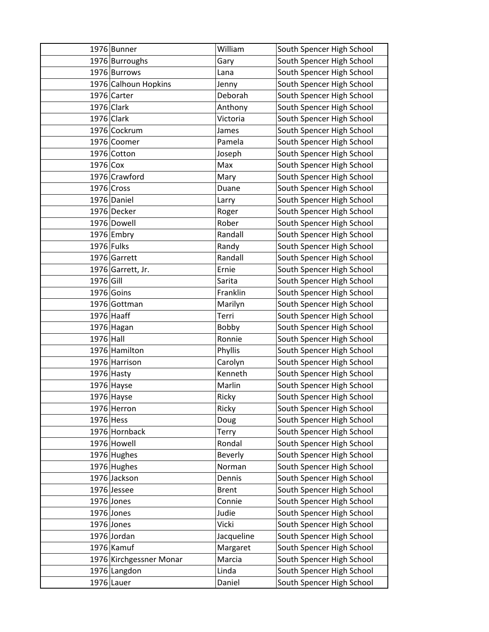|             | 1976 Bunner                 | William            | South Spencer High School                              |
|-------------|-----------------------------|--------------------|--------------------------------------------------------|
|             | 1976 Burroughs              | Gary               | South Spencer High School                              |
|             | 1976 Burrows                | Lana               | South Spencer High School                              |
|             | 1976 Calhoun Hopkins        | Jenny              | South Spencer High School                              |
|             | 1976 Carter                 | Deborah            | South Spencer High School                              |
|             | 1976 Clark                  | Anthony            | South Spencer High School                              |
|             | $1976$ Clark                | Victoria           | South Spencer High School                              |
|             | 1976 Cockrum                | James              | South Spencer High School                              |
|             | 1976 Coomer                 | Pamela             | South Spencer High School                              |
|             | 1976 Cotton                 | Joseph             | South Spencer High School                              |
| $1976$ Cox  |                             | Max                | South Spencer High School                              |
|             | 1976 Crawford               | Mary               | South Spencer High School                              |
|             | 1976 Cross                  | Duane              | South Spencer High School                              |
|             | 1976 Daniel                 | Larry              | South Spencer High School                              |
|             | 1976 Decker                 | Roger              | South Spencer High School                              |
|             | 1976 Dowell                 | Rober              | South Spencer High School                              |
|             | 1976 Embry                  | Randall            | South Spencer High School                              |
|             | 1976 Fulks                  | Randy              | South Spencer High School                              |
|             | 1976 Garrett                | Randall            | South Spencer High School                              |
|             | 1976 Garrett, Jr.           | Ernie              | South Spencer High School                              |
| 1976 Gill   |                             | Sarita             | South Spencer High School                              |
|             | 1976 Goins                  | Franklin           | South Spencer High School                              |
|             | 1976 Gottman                | Marilyn            | South Spencer High School                              |
|             | $1976$ Haaff                | Terri              | South Spencer High School                              |
|             | 1976 Hagan                  | Bobby              | South Spencer High School                              |
| 1976 Hall   |                             | Ronnie             | South Spencer High School                              |
|             | 1976 Hamilton               | Phyllis            | South Spencer High School                              |
|             | 1976 Harrison               | Carolyn            | South Spencer High School                              |
|             | $1976$ Hasty                | Kenneth            | South Spencer High School                              |
|             | $1976$ Hayse                | Marlin             | South Spencer High School                              |
|             | 1976 Hayse                  | Ricky              | South Spencer High School                              |
|             | 1976 Herron                 | Ricky              | South Spencer High School                              |
| $1976$ Hess |                             | Doug               | South Spencer High School                              |
|             | 1976 Hornback               | Terry              | South Spencer High School                              |
|             | 1976 Howell                 | Rondal             | South Spencer High School                              |
|             | 1976 Hughes                 | Beverly            | South Spencer High School                              |
|             | 1976 Hughes                 | Norman             | South Spencer High School                              |
|             | 1976 Jackson                | Dennis             | South Spencer High School                              |
|             | 1976 Jessee                 | <b>Brent</b>       | South Spencer High School                              |
|             | $1976$ Jones                | Connie             | South Spencer High School                              |
|             | $1976$ Jones                | Judie<br>Vicki     | South Spencer High School                              |
|             | $1976$ Jones                | Jacqueline         | South Spencer High School<br>South Spencer High School |
|             | 1976 Jordan<br>$1976$ Kamuf |                    |                                                        |
|             |                             | Margaret<br>Marcia | South Spencer High School                              |
|             | 1976 Kirchgessner Monar     |                    | South Spencer High School                              |
|             | 1976 Langdon                | Linda              | South Spencer High School                              |
|             | $1976$ Lauer                | Daniel             | South Spencer High School                              |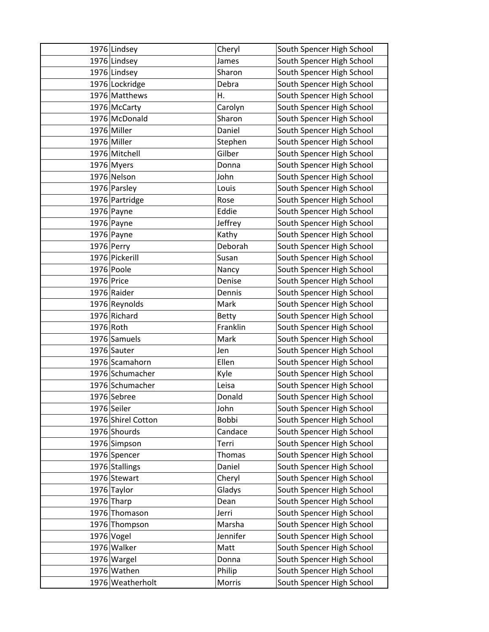|            | 1976 Lindsey       | Cheryl       | South Spencer High School |
|------------|--------------------|--------------|---------------------------|
|            | 1976 Lindsey       | James        | South Spencer High School |
|            | 1976 Lindsey       | Sharon       | South Spencer High School |
|            | 1976 Lockridge     | Debra        | South Spencer High School |
|            | 1976 Matthews      | Η.           | South Spencer High School |
|            | 1976 McCarty       | Carolyn      | South Spencer High School |
|            | 1976 McDonald      | Sharon       | South Spencer High School |
|            | 1976 Miller        | Daniel       | South Spencer High School |
|            | 1976 Miller        | Stephen      | South Spencer High School |
|            | 1976 Mitchell      | Gilber       | South Spencer High School |
|            | 1976 Myers         | Donna        | South Spencer High School |
|            | 1976 Nelson        | John         | South Spencer High School |
|            | 1976 Parsley       | Louis        | South Spencer High School |
|            | 1976 Partridge     | Rose         | South Spencer High School |
|            | 1976 Payne         | Eddie        | South Spencer High School |
|            | $1976$ Payne       | Jeffrey      | South Spencer High School |
|            | $1976$ Payne       | Kathy        | South Spencer High School |
|            | 1976 Perry         | Deborah      | South Spencer High School |
|            | 1976 Pickerill     | Susan        | South Spencer High School |
|            | 1976 Poole         | Nancy        | South Spencer High School |
| 1976 Price |                    | Denise       | South Spencer High School |
|            | 1976 Raider        | Dennis       | South Spencer High School |
|            | 1976 Reynolds      | Mark         | South Spencer High School |
|            | 1976 Richard       | <b>Betty</b> | South Spencer High School |
| 1976 Roth  |                    | Franklin     | South Spencer High School |
|            | 1976 Samuels       | Mark         | South Spencer High School |
|            | 1976 Sauter        | Jen          | South Spencer High School |
|            | 1976 Scamahorn     | Ellen        | South Spencer High School |
|            | 1976 Schumacher    | Kyle         | South Spencer High School |
|            | 1976 Schumacher    | Leisa        | South Spencer High School |
|            | 1976 Sebree        | Donald       | South Spencer High School |
|            | 1976 Seiler        | John         | South Spencer High School |
|            | 1976 Shirel Cotton | Bobbi        | South Spencer High School |
|            | 1976 Shourds       | Candace      | South Spencer High School |
|            | 1976 Simpson       | Terri        | South Spencer High School |
|            | 1976 Spencer       | Thomas       | South Spencer High School |
|            | 1976 Stallings     | Daniel       | South Spencer High School |
|            | 1976 Stewart       | Cheryl       | South Spencer High School |
|            | 1976 Taylor        | Gladys       | South Spencer High School |
|            | $1976$ Tharp       | Dean         | South Spencer High School |
|            | 1976 Thomason      | Jerri        | South Spencer High School |
|            | 1976 Thompson      | Marsha       | South Spencer High School |
|            | 1976 Vogel         | Jennifer     | South Spencer High School |
|            | 1976 Walker        | Matt         | South Spencer High School |
|            | 1976 Wargel        | Donna        | South Spencer High School |
|            | 1976 Wathen        | Philip       | South Spencer High School |
|            | 1976 Weatherholt   | Morris       | South Spencer High School |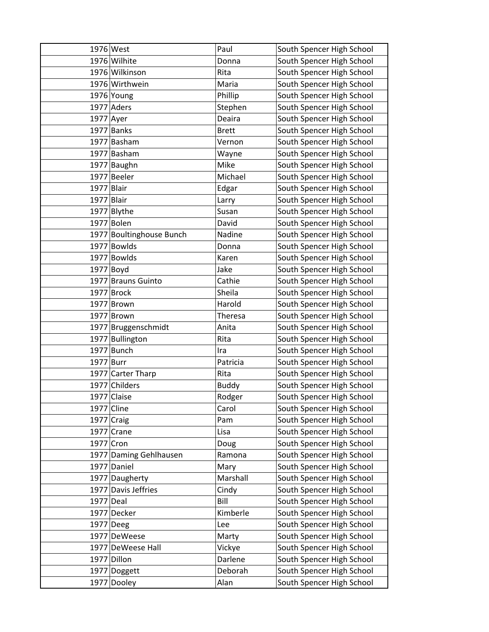|              | 1976 West                | Paul         | South Spencer High School |
|--------------|--------------------------|--------------|---------------------------|
|              | 1976 Wilhite             | Donna        | South Spencer High School |
|              | 1976 Wilkinson           | Rita         | South Spencer High School |
|              | 1976 Wirthwein           | Maria        | South Spencer High School |
|              | 1976 Young               | Phillip      | South Spencer High School |
|              | 1977 Aders               | Stephen      | South Spencer High School |
| $1977$ Ayer  |                          | Deaira       | South Spencer High School |
|              | $1977$ Banks             | <b>Brett</b> | South Spencer High School |
|              | 1977 Basham              | Vernon       | South Spencer High School |
|              | 1977 Basham              | Wayne        | South Spencer High School |
|              | 1977 Baughn              | Mike         | South Spencer High School |
|              | 1977 Beeler              | Michael      | South Spencer High School |
| 1977 Blair   |                          | Edgar        | South Spencer High School |
| $1977$ Blair |                          | Larry        | South Spencer High School |
|              | 1977 Blythe              | Susan        | South Spencer High School |
|              | 1977 Bolen               | David        | South Spencer High School |
|              | 1977 Boultinghouse Bunch | Nadine       | South Spencer High School |
|              | 1977 Bowlds              | Donna        | South Spencer High School |
|              | 1977 Bowlds              | Karen        | South Spencer High School |
|              | $1977$ Boyd              | Jake         | South Spencer High School |
|              | 1977 Brauns Guinto       | Cathie       | South Spencer High School |
|              | 1977 Brock               | Sheila       | South Spencer High School |
|              | 1977 Brown               | Harold       | South Spencer High School |
|              | 1977 Brown               | Theresa      | South Spencer High School |
|              | 1977 Bruggenschmidt      | Anita        | South Spencer High School |
|              | 1977 Bullington          | Rita         | South Spencer High School |
|              | $1977$ Bunch             | Ira          | South Spencer High School |
| 1977 Burr    |                          | Patricia     | South Spencer High School |
|              | 1977 Carter Tharp        | Rita         | South Spencer High School |
|              | 1977 Childers            | <b>Buddy</b> | South Spencer High School |
|              | 1977 Claise              | Rodger       | South Spencer High School |
|              | 1977 Cline               | Carol        | South Spencer High School |
|              | $1977$ Craig             | Pam          | South Spencer High School |
|              | $1977$ Crane             | Lisa         | South Spencer High School |
| 1977 Cron    |                          | Doug         | South Spencer High School |
|              | 1977 Daming Gehlhausen   | Ramona       | South Spencer High School |
|              | 1977 Daniel              | Mary         | South Spencer High School |
|              | 1977 Daugherty           | Marshall     | South Spencer High School |
|              | 1977 Davis Jeffries      | Cindy        | South Spencer High School |
| 1977 Deal    |                          | Bill         | South Spencer High School |
|              | 1977 Decker              | Kimberle     | South Spencer High School |
|              | $1977$ Deeg              | Lee          | South Spencer High School |
|              | 1977 DeWeese             | Marty        | South Spencer High School |
|              | 1977 DeWeese Hall        | Vickye       | South Spencer High School |
|              | 1977 Dillon              | Darlene      | South Spencer High School |
|              | 1977 Doggett             | Deborah      | South Spencer High School |
|              | 1977 Dooley              | Alan         | South Spencer High School |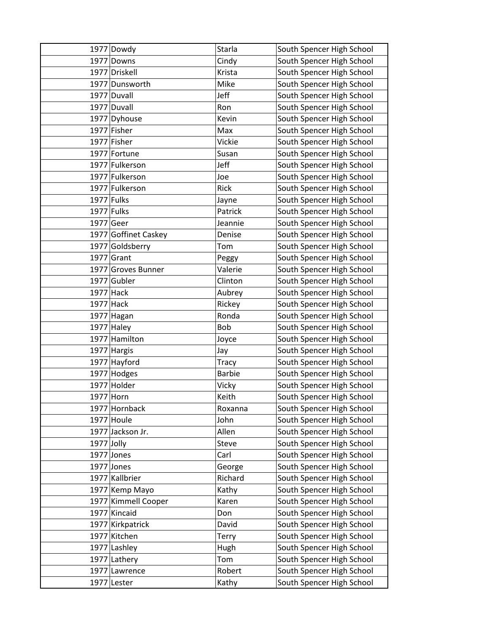|              | 1977 Dowdy           | Starla        | South Spencer High School |
|--------------|----------------------|---------------|---------------------------|
|              | 1977 Downs           | Cindy         | South Spencer High School |
|              | 1977 Driskell        | Krista        | South Spencer High School |
|              | 1977 Dunsworth       | Mike          | South Spencer High School |
|              | 1977 Duvall          | Jeff          | South Spencer High School |
|              | 1977 Duvall          | Ron           | South Spencer High School |
|              | 1977 Dyhouse         | Kevin         | South Spencer High School |
|              | 1977 Fisher          | Max           | South Spencer High School |
|              | 1977 Fisher          | Vickie        | South Spencer High School |
|              | 1977 Fortune         | Susan         | South Spencer High School |
|              | 1977 Fulkerson       | Jeff          | South Spencer High School |
|              | 1977 Fulkerson       | Joe           | South Spencer High School |
|              | 1977 Fulkerson       | Rick          | South Spencer High School |
| 1977 Fulks   |                      | Jayne         | South Spencer High School |
| 1977 Fulks   |                      | Patrick       | South Spencer High School |
| 1977 Geer    |                      | Jeannie       | South Spencer High School |
|              | 1977 Goffinet Caskey | Denise        | South Spencer High School |
|              | 1977 Goldsberry      | Tom           | South Spencer High School |
|              | $1977$ Grant         | Peggy         | South Spencer High School |
|              | 1977 Groves Bunner   | Valerie       | South Spencer High School |
|              | 1977 Gubler          | Clinton       | South Spencer High School |
| $1977$ Hack  |                      | Aubrey        | South Spencer High School |
| $1977$ Hack  |                      | Rickey        | South Spencer High School |
|              | 1977 Hagan           | Ronda         | South Spencer High School |
|              | $1977$ Haley         | <b>Bob</b>    | South Spencer High School |
|              | 1977 Hamilton        | Joyce         | South Spencer High School |
|              | 1977 Hargis          | Jay           | South Spencer High School |
|              | 1977 Hayford         | <b>Tracy</b>  | South Spencer High School |
|              | 1977 Hodges          | <b>Barbie</b> | South Spencer High School |
|              | 1977 Holder          | Vicky         | South Spencer High School |
| 1977 Horn    |                      | Keith         | South Spencer High School |
|              | 1977 Hornback        | Roxanna       | South Spencer High School |
|              | $1977$ Houle         | John          | South Spencer High School |
|              | 1977 Jackson Jr.     | Allen         | South Spencer High School |
| $1977$ Jolly |                      | Steve         | South Spencer High School |
|              | $1977$ Jones         | Carl          | South Spencer High School |
|              | 1977 Jones           | George        | South Spencer High School |
|              | 1977 Kallbrier       | Richard       | South Spencer High School |
|              | 1977 Kemp Mayo       | Kathy         | South Spencer High School |
|              | 1977 Kimmell Cooper  | Karen         | South Spencer High School |
|              | 1977 Kincaid         | Don           | South Spencer High School |
|              | 1977 Kirkpatrick     | David         | South Spencer High School |
|              | 1977 Kitchen         | Terry         | South Spencer High School |
|              | 1977 Lashley         | Hugh          | South Spencer High School |
|              | 1977 Lathery         | Tom           | South Spencer High School |
|              | 1977 Lawrence        | Robert        | South Spencer High School |
|              | 1977 Lester          | Kathy         | South Spencer High School |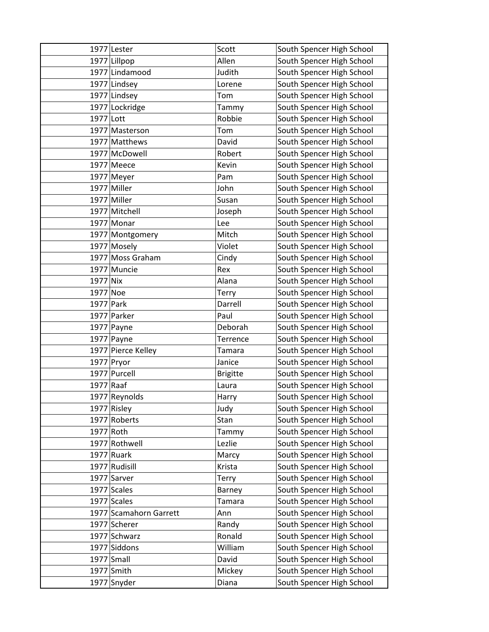|             | 1977 Lester            | Scott           | South Spencer High School |
|-------------|------------------------|-----------------|---------------------------|
|             | 1977 Lillpop           | Allen           | South Spencer High School |
|             | 1977 Lindamood         | Judith          | South Spencer High School |
|             | 1977 Lindsey           | Lorene          | South Spencer High School |
|             | 1977 Lindsey           | Tom             | South Spencer High School |
|             | 1977 Lockridge         | Tammy           | South Spencer High School |
| 1977 Lott   |                        | Robbie          | South Spencer High School |
|             | 1977 Masterson         | Tom             | South Spencer High School |
|             | 1977 Matthews          | David           | South Spencer High School |
|             | 1977 McDowell          | Robert          | South Spencer High School |
|             | $1977$ Meece           | Kevin           | South Spencer High School |
|             | $1977$ Meyer           | Pam             | South Spencer High School |
|             | 1977 Miller            | John            | South Spencer High School |
|             | 1977 Miller            | Susan           | South Spencer High School |
|             | 1977 Mitchell          | Joseph          | South Spencer High School |
|             | $1977$ Monar           | Lee             | South Spencer High School |
|             | 1977 Montgomery        | Mitch           | South Spencer High School |
|             | 1977 Mosely            | Violet          | South Spencer High School |
|             | 1977 Moss Graham       | Cindy           | South Spencer High School |
|             | 1977 Muncie            | Rex             | South Spencer High School |
| 1977 Nix    |                        | Alana           | South Spencer High School |
| 1977 Noe    |                        | Terry           | South Spencer High School |
| 1977 Park   |                        | Darrell         | South Spencer High School |
|             | 1977 Parker            | Paul            | South Spencer High School |
|             | $1977$ Payne           | Deborah         | South Spencer High School |
|             | $1977$ Payne           | Terrence        | South Spencer High School |
|             | 1977 Pierce Kelley     | <b>Tamara</b>   | South Spencer High School |
|             | 1977 Pryor             | Janice          | South Spencer High School |
|             | 1977 Purcell           | <b>Brigitte</b> | South Spencer High School |
| $1977$ Raaf |                        | Laura           | South Spencer High School |
|             | 1977 Reynolds          | Harry           | South Spencer High School |
|             | 1977 Risley            | Judy            | South Spencer High School |
|             | 1977 Roberts           | Stan            | South Spencer High School |
| 1977 Roth   |                        | Tammy           | South Spencer High School |
|             | 1977 Rothwell          | Lezlie          | South Spencer High School |
|             | $1977$ Ruark           | Marcy           | South Spencer High School |
|             | 1977 Rudisill          | Krista          | South Spencer High School |
|             | 1977 Sarver            | Terry           | South Spencer High School |
|             | 1977 Scales            | Barney          | South Spencer High School |
|             | 1977 Scales            | <b>Tamara</b>   | South Spencer High School |
|             | 1977 Scamahorn Garrett | Ann             | South Spencer High School |
|             | 1977 Scherer           | Randy           | South Spencer High School |
|             | 1977 Schwarz           | Ronald          | South Spencer High School |
|             | 1977 Siddons           | William         | South Spencer High School |
|             | 1977 Small             | David           | South Spencer High School |
|             | 1977 Smith             | Mickey          | South Spencer High School |
|             | 1977 Snyder            | Diana           | South Spencer High School |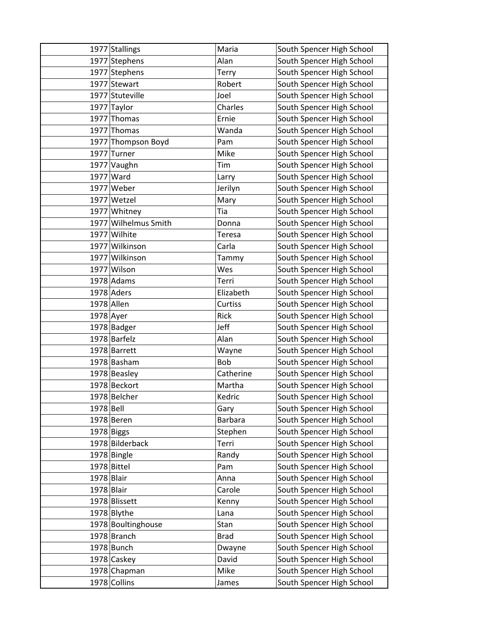|              | 1977 Stallings       | Maria          | South Spencer High School |
|--------------|----------------------|----------------|---------------------------|
|              | 1977 Stephens        | Alan           | South Spencer High School |
|              | 1977 Stephens        | Terry          | South Spencer High School |
|              | 1977 Stewart         | Robert         | South Spencer High School |
|              | 1977 Stuteville      | Joel           | South Spencer High School |
|              | 1977 Taylor          | Charles        | South Spencer High School |
|              | 1977 Thomas          | Ernie          | South Spencer High School |
|              | 1977 Thomas          | Wanda          | South Spencer High School |
|              | 1977 Thompson Boyd   | Pam            | South Spencer High School |
|              | 1977 Turner          | Mike           | South Spencer High School |
|              | 1977 Vaughn          | Tim            | South Spencer High School |
|              | 1977 Ward            | Larry          | South Spencer High School |
|              | $1977$ Weber         | Jerilyn        | South Spencer High School |
|              | 1977 Wetzel          | Mary           | South Spencer High School |
|              | 1977 Whitney         | Tia            | South Spencer High School |
|              | 1977 Wilhelmus Smith | Donna          | South Spencer High School |
|              | 1977 Wilhite         | <b>Teresa</b>  | South Spencer High School |
|              | 1977 Wilkinson       | Carla          | South Spencer High School |
|              | 1977 Wilkinson       | Tammy          | South Spencer High School |
|              | 1977 Wilson          | Wes            | South Spencer High School |
|              | $1978$ Adams         | Terri          | South Spencer High School |
|              | 1978 Aders           | Elizabeth      | South Spencer High School |
| 1978 Allen   |                      | Curtiss        | South Spencer High School |
| $1978$ Ayer  |                      | Rick           | South Spencer High School |
|              | 1978 Badger          | Jeff           | South Spencer High School |
|              | 1978 Barfelz         | Alan           | South Spencer High School |
|              | 1978 Barrett         | Wayne          | South Spencer High School |
|              | 1978 Basham          | <b>Bob</b>     | South Spencer High School |
|              | 1978 Beasley         | Catherine      | South Spencer High School |
|              | 1978 Beckort         | Martha         | South Spencer High School |
|              | 1978 Belcher         | Kedric         | South Spencer High School |
| 1978 Bell    |                      | Gary           | South Spencer High School |
|              | $1978$ Beren         | <b>Barbara</b> | South Spencer High School |
|              | $1978$ Biggs         | Stephen        | South Spencer High School |
|              | 1978 Bilderback      | Terri          | South Spencer High School |
|              | 1978 Bingle          | Randy          | South Spencer High School |
|              | 1978 Bittel          | Pam            | South Spencer High School |
| $1978$ Blair |                      | Anna           | South Spencer High School |
| $1978$ Blair |                      | Carole         | South Spencer High School |
|              | 1978 Blissett        | Kenny          | South Spencer High School |
|              | 1978 Blythe          | Lana           | South Spencer High School |
|              | 1978 Boultinghouse   | Stan           | South Spencer High School |
|              | 1978 Branch          | <b>Brad</b>    | South Spencer High School |
|              | 1978 Bunch           | Dwayne         | South Spencer High School |
|              | 1978 Caskey          | David          | South Spencer High School |
|              | 1978 Chapman         | Mike           | South Spencer High School |
|              | 1978 Collins         | James          | South Spencer High School |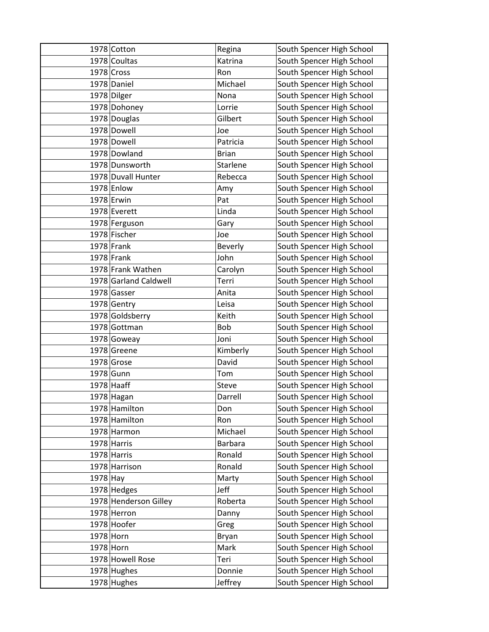|            | 1978 Cotton           | Regina         | South Spencer High School |
|------------|-----------------------|----------------|---------------------------|
|            | 1978 Coultas          | Katrina        | South Spencer High School |
|            | 1978 Cross            | Ron            | South Spencer High School |
|            | 1978 Daniel           | Michael        | South Spencer High School |
|            | 1978 Dilger           | Nona           | South Spencer High School |
|            | 1978 Dohoney          | Lorrie         | South Spencer High School |
|            | 1978 Douglas          | Gilbert        | South Spencer High School |
|            | 1978 Dowell           | Joe            | South Spencer High School |
|            | 1978 Dowell           | Patricia       | South Spencer High School |
|            | 1978 Dowland          | <b>Brian</b>   | South Spencer High School |
|            | 1978 Dunsworth        | Starlene       | South Spencer High School |
|            | 1978 Duvall Hunter    | Rebecca        | South Spencer High School |
|            | 1978 Enlow            | Amy            | South Spencer High School |
|            | $1978$ Erwin          | Pat            | South Spencer High School |
|            | 1978 Everett          | Linda          | South Spencer High School |
|            | 1978 Ferguson         | Gary           | South Spencer High School |
|            | 1978 Fischer          | Joe            | South Spencer High School |
|            | $1978$ Frank          | Beverly        | South Spencer High School |
|            | $1978$ Frank          | John           | South Spencer High School |
|            | 1978 Frank Wathen     | Carolyn        | South Spencer High School |
|            | 1978 Garland Caldwell | Terri          | South Spencer High School |
|            | 1978 Gasser           | Anita          | South Spencer High School |
|            | 1978 Gentry           | Leisa          | South Spencer High School |
|            | 1978 Goldsberry       | Keith          | South Spencer High School |
|            | 1978 Gottman          | Bob            | South Spencer High School |
|            | 1978 Goweay           | Joni           | South Spencer High School |
|            | 1978 Greene           | Kimberly       | South Spencer High School |
|            | $1978$ Grose          | David          | South Spencer High School |
|            | 1978 Gunn             | Tom            | South Spencer High School |
|            | $1978$ Haaff          | Steve          | South Spencer High School |
|            | 1978 Hagan            | Darrell        | South Spencer High School |
|            | 1978 Hamilton         | Don            | South Spencer High School |
|            | 1978 Hamilton         | Ron            | South Spencer High School |
|            | 1978 Harmon           | Michael        | South Spencer High School |
|            | 1978 Harris           | <b>Barbara</b> | South Spencer High School |
|            | 1978 Harris           | Ronald         | South Spencer High School |
|            | 1978 Harrison         | Ronald         | South Spencer High School |
| $1978$ Hay |                       | Marty          | South Spencer High School |
|            | 1978 Hedges           | Jeff           | South Spencer High School |
|            | 1978 Henderson Gilley | Roberta        | South Spencer High School |
|            | 1978 Herron           | Danny          | South Spencer High School |
|            | 1978 Hoofer           | Greg           | South Spencer High School |
| 1978 Horn  |                       | Bryan          | South Spencer High School |
| 1978 Horn  |                       | Mark           | South Spencer High School |
|            | 1978 Howell Rose      | Teri           | South Spencer High School |
|            | 1978 Hughes           | Donnie         | South Spencer High School |
|            | 1978 Hughes           | Jeffrey        | South Spencer High School |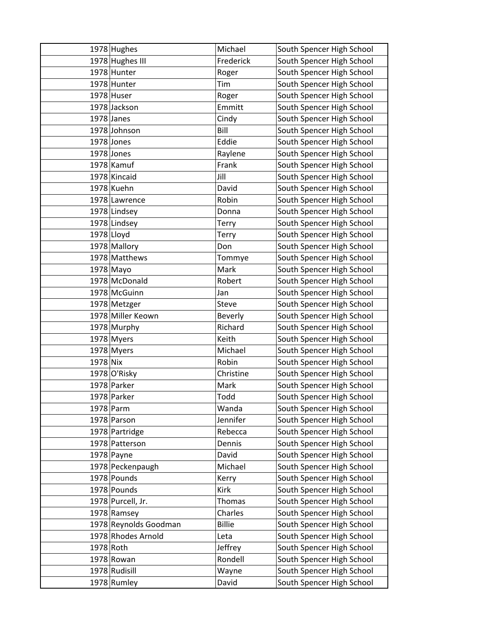|              | 1978 Hughes           | Michael       | South Spencer High School |
|--------------|-----------------------|---------------|---------------------------|
|              | 1978 Hughes III       | Frederick     | South Spencer High School |
|              | 1978 Hunter           | Roger         | South Spencer High School |
|              | 1978 Hunter           | Tim           | South Spencer High School |
|              | 1978 Huser            | Roger         | South Spencer High School |
|              | 1978 Jackson          | Emmitt        | South Spencer High School |
|              | $1978$ Janes          | Cindy         | South Spencer High School |
|              | 1978 Johnson          | Bill          | South Spencer High School |
|              | $1978$ Jones          | Eddie         | South Spencer High School |
|              | $1978$ Jones          | Raylene       | South Spencer High School |
|              | $1978$ Kamuf          | Frank         | South Spencer High School |
|              | 1978 Kincaid          | Jill          | South Spencer High School |
|              | 1978 Kuehn            | David         | South Spencer High School |
|              | 1978 Lawrence         | Robin         | South Spencer High School |
|              | 1978 Lindsey          | Donna         | South Spencer High School |
|              | 1978 Lindsey          | Terry         | South Spencer High School |
| $1978$ Lloyd |                       | Terry         | South Spencer High School |
|              | 1978 Mallory          | Don           | South Spencer High School |
|              | 1978 Matthews         | Tommye        | South Spencer High School |
|              | $1978$ Mayo           | Mark          | South Spencer High School |
|              | 1978 McDonald         | Robert        | South Spencer High School |
|              | 1978 McGuinn          | Jan           | South Spencer High School |
|              | 1978 Metzger          | Steve         | South Spencer High School |
|              | 1978 Miller Keown     | Beverly       | South Spencer High School |
|              | 1978 Murphy           | Richard       | South Spencer High School |
|              | 1978 Myers            | Keith         | South Spencer High School |
|              | 1978 Myers            | Michael       | South Spencer High School |
| 1978 Nix     |                       | Robin         | South Spencer High School |
|              | 1978 O'Risky          | Christine     | South Spencer High School |
|              | 1978 Parker           | Mark          | South Spencer High School |
|              | 1978 Parker           | Todd          | South Spencer High School |
|              | 1978 Parm             | Wanda         | South Spencer High School |
|              | 1978 Parson           | Jennifer      | South Spencer High School |
|              | 1978 Partridge        | Rebecca       | South Spencer High School |
|              | 1978 Patterson        | Dennis        | South Spencer High School |
|              | $1978$ Payne          | David         | South Spencer High School |
|              | 1978 Peckenpaugh      | Michael       | South Spencer High School |
|              | 1978 Pounds           | Kerry         | South Spencer High School |
|              | 1978 Pounds           | Kirk          | South Spencer High School |
|              | 1978 Purcell, Jr.     | <b>Thomas</b> | South Spencer High School |
|              | 1978 Ramsey           | Charles       | South Spencer High School |
|              | 1978 Reynolds Goodman | <b>Billie</b> | South Spencer High School |
|              | 1978 Rhodes Arnold    | Leta          | South Spencer High School |
| 1978 Roth    |                       | Jeffrey       | South Spencer High School |
|              | $1978$ Rowan          | Rondell       | South Spencer High School |
|              | 1978 Rudisill         | Wayne         | South Spencer High School |
|              | 1978 Rumley           | David         | South Spencer High School |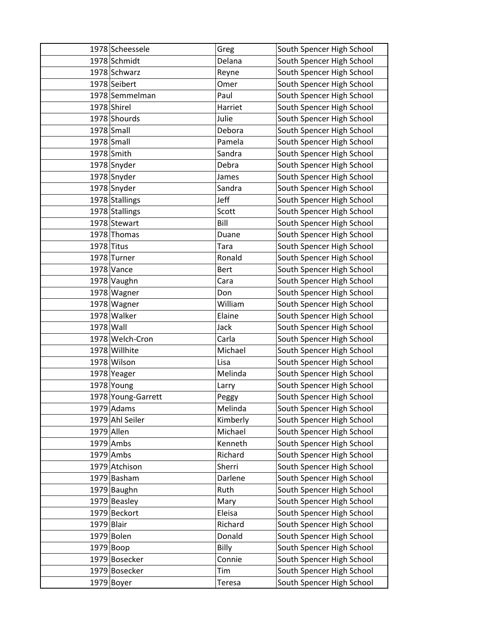|              | 1978 Scheessele    | Greg        | South Spencer High School |
|--------------|--------------------|-------------|---------------------------|
|              | 1978 Schmidt       | Delana      | South Spencer High School |
|              | 1978 Schwarz       | Reyne       | South Spencer High School |
|              | 1978 Seibert       | Omer        | South Spencer High School |
|              | 1978 Semmelman     | Paul        | South Spencer High School |
|              | 1978 Shirel        | Harriet     | South Spencer High School |
|              | 1978 Shourds       | Julie       | South Spencer High School |
|              | 1978 Small         | Debora      | South Spencer High School |
|              | 1978 Small         | Pamela      | South Spencer High School |
|              | 1978 Smith         | Sandra      | South Spencer High School |
|              | 1978 Snyder        | Debra       | South Spencer High School |
|              | 1978 Snyder        | James       | South Spencer High School |
|              | 1978 Snyder        | Sandra      | South Spencer High School |
|              | 1978 Stallings     | Jeff        | South Spencer High School |
|              | 1978 Stallings     | Scott       | South Spencer High School |
|              | 1978 Stewart       | Bill        | South Spencer High School |
|              | 1978 Thomas        | Duane       | South Spencer High School |
| $1978$ Titus |                    | Tara        | South Spencer High School |
|              | 1978 Turner        | Ronald      | South Spencer High School |
|              | $1978$ Vance       | <b>Bert</b> | South Spencer High School |
|              | 1978 Vaughn        | Cara        | South Spencer High School |
|              | 1978 Wagner        | Don         | South Spencer High School |
|              | 1978 Wagner        | William     | South Spencer High School |
|              | 1978 Walker        | Elaine      | South Spencer High School |
| 1978 Wall    |                    | Jack        | South Spencer High School |
|              | 1978 Welch-Cron    | Carla       | South Spencer High School |
|              | 1978 Willhite      | Michael     | South Spencer High School |
|              | 1978 Wilson        | Lisa        | South Spencer High School |
|              | 1978 Yeager        | Melinda     | South Spencer High School |
|              | 1978 Young         | Larry       | South Spencer High School |
|              | 1978 Young-Garrett | Peggy       | South Spencer High School |
|              | $1979$ Adams       | Melinda     | South Spencer High School |
|              | 1979 Ahl Seiler    | Kimberly    | South Spencer High School |
| 1979 Allen   |                    | Michael     | South Spencer High School |
|              | $1979$ Ambs        | Kenneth     | South Spencer High School |
|              | $1979$ Ambs        | Richard     | South Spencer High School |
|              | 1979 Atchison      | Sherri      | South Spencer High School |
|              | 1979 Basham        | Darlene     | South Spencer High School |
|              | 1979 Baughn        | Ruth        | South Spencer High School |
|              | 1979 Beasley       | Mary        | South Spencer High School |
|              | 1979 Beckort       | Eleisa      | South Spencer High School |
| $1979$ Blair |                    | Richard     | South Spencer High School |
|              | 1979 Bolen         | Donald      | South Spencer High School |
|              | 1979 Boop          | Billy       | South Spencer High School |
|              | 1979 Bosecker      | Connie      | South Spencer High School |
|              | 1979 Bosecker      | Tim         | South Spencer High School |
|              | $1979$ Boyer       | Teresa      | South Spencer High School |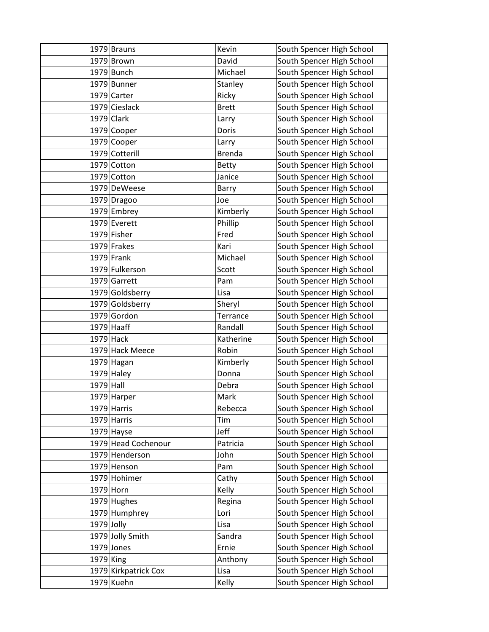|              | 1979 Brauns          | Kevin         | South Spencer High School |
|--------------|----------------------|---------------|---------------------------|
|              | $1979$ Brown         | David         | South Spencer High School |
|              | 1979 Bunch           | Michael       | South Spencer High School |
|              | 1979 Bunner          | Stanley       | South Spencer High School |
|              | 1979 Carter          | Ricky         | South Spencer High School |
|              | 1979 Cieslack        | <b>Brett</b>  | South Spencer High School |
|              | $1979$ Clark         | Larry         | South Spencer High School |
|              | 1979 Cooper          | Doris         | South Spencer High School |
|              | 1979 Cooper          | Larry         | South Spencer High School |
|              | 1979 Cotterill       | <b>Brenda</b> | South Spencer High School |
|              | 1979 Cotton          | <b>Betty</b>  | South Spencer High School |
|              | 1979 Cotton          | Janice        | South Spencer High School |
|              | 1979 DeWeese         | Barry         | South Spencer High School |
|              | 1979 Dragoo          | Joe           | South Spencer High School |
|              | 1979 Embrey          | Kimberly      | South Spencer High School |
|              | 1979 Everett         | Phillip       | South Spencer High School |
|              | 1979 Fisher          | Fred          | South Spencer High School |
|              | 1979 Frakes          | Kari          | South Spencer High School |
|              | $1979$ Frank         | Michael       | South Spencer High School |
|              | 1979 Fulkerson       | Scott         | South Spencer High School |
|              | 1979 Garrett         | Pam           | South Spencer High School |
|              | 1979 Goldsberry      | Lisa          | South Spencer High School |
|              | 1979 Goldsberry      | Sheryl        | South Spencer High School |
|              | 1979 Gordon          | Terrance      | South Spencer High School |
|              | $1979$ Haaff         | Randall       | South Spencer High School |
| $1979$ Hack  |                      | Katherine     | South Spencer High School |
|              | 1979 Hack Meece      | Robin         | South Spencer High School |
|              | 1979 Hagan           | Kimberly      | South Spencer High School |
|              | $1979$ Haley         | Donna         | South Spencer High School |
| 1979 Hall    |                      | Debra         | South Spencer High School |
|              | 1979 Harper          | Mark          | South Spencer High School |
|              | 1979 Harris          | Rebecca       | South Spencer High School |
|              | $1979$ Harris        | Tim           | South Spencer High School |
|              | $1979$ Hayse         | Jeff          | South Spencer High School |
|              | 1979 Head Cochenour  | Patricia      | South Spencer High School |
|              | 1979 Henderson       | John          | South Spencer High School |
|              | 1979 Henson          | Pam           | South Spencer High School |
|              | 1979 Hohimer         | Cathy         | South Spencer High School |
| 1979 Horn    |                      | Kelly         | South Spencer High School |
|              | $1979$ Hughes        | Regina        | South Spencer High School |
|              | 1979 Humphrey        | Lori          | South Spencer High School |
| $1979$ Jolly |                      | Lisa          | South Spencer High School |
|              | 1979 Jolly Smith     | Sandra        | South Spencer High School |
|              | $1979$ Jones         | Ernie         | South Spencer High School |
| $1979$ King  |                      | Anthony       | South Spencer High School |
|              | 1979 Kirkpatrick Cox | Lisa          | South Spencer High School |
|              | 1979 Kuehn           | Kelly         | South Spencer High School |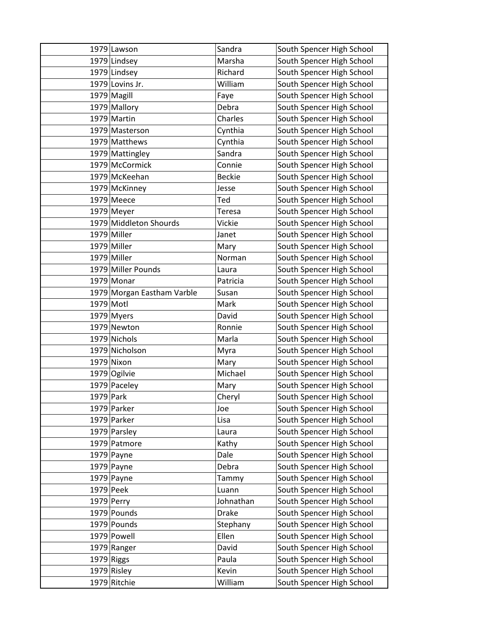|              | 1979 Lawson                | Sandra        | South Spencer High School |
|--------------|----------------------------|---------------|---------------------------|
|              | 1979 Lindsey               | Marsha        | South Spencer High School |
|              | 1979 Lindsey               | Richard       | South Spencer High School |
|              | 1979 Lovins Jr.            | William       | South Spencer High School |
|              | 1979 Magill                | Faye          | South Spencer High School |
|              | 1979 Mallory               | Debra         | South Spencer High School |
|              | 1979 Martin                | Charles       | South Spencer High School |
|              | 1979 Masterson             | Cynthia       | South Spencer High School |
|              | 1979 Matthews              | Cynthia       | South Spencer High School |
|              | 1979 Mattingley            | Sandra        | South Spencer High School |
|              | 1979 McCormick             | Connie        | South Spencer High School |
|              | 1979 McKeehan              | <b>Beckie</b> | South Spencer High School |
|              | 1979 McKinney              | Jesse         | South Spencer High School |
|              | $1979$ Meece               | Ted           | South Spencer High School |
|              | $1979$ Meyer               | <b>Teresa</b> | South Spencer High School |
|              | 1979 Middleton Shourds     | Vickie        | South Spencer High School |
|              | 1979 Miller                | Janet         | South Spencer High School |
|              | 1979 Miller                | Mary          | South Spencer High School |
|              | 1979 Miller                | Norman        | South Spencer High School |
|              | 1979 Miller Pounds         | Laura         | South Spencer High School |
|              | $1979$ Monar               | Patricia      | South Spencer High School |
|              | 1979 Morgan Eastham Varble | Susan         | South Spencer High School |
| 1979 Motl    |                            | Mark          | South Spencer High School |
|              | 1979 Myers                 | David         | South Spencer High School |
|              | 1979 Newton                | Ronnie        | South Spencer High School |
|              | 1979 Nichols               | Marla         | South Spencer High School |
|              | 1979 Nicholson             | Myra          | South Spencer High School |
|              | 1979 Nixon                 | Mary          | South Spencer High School |
|              | 1979 Ogilvie               | Michael       | South Spencer High School |
|              | 1979 Paceley               | Mary          | South Spencer High School |
| 1979 Park    |                            | Cheryl        | South Spencer High School |
|              | 1979 Parker                | Joe           | South Spencer High School |
|              | 1979 Parker                | Lisa          | South Spencer High School |
|              | 1979 Parsley               | Laura         | South Spencer High School |
|              | 1979 Patmore               | Kathy         | South Spencer High School |
|              | $1979$ Payne               | Dale          | South Spencer High School |
|              | $1979$ Payne               | Debra         | South Spencer High School |
|              | $1979$ Payne               | Tammy         | South Spencer High School |
| 1979 Peek    |                            | Luann         | South Spencer High School |
|              | $1979$ Perry               | Johnathan     | South Spencer High School |
|              | 1979 Pounds                | <b>Drake</b>  | South Spencer High School |
|              | 1979 Pounds                | Stephany      | South Spencer High School |
|              | 1979 Powell                | Ellen         | South Spencer High School |
|              | 1979 Ranger                | David         | South Spencer High School |
| $1979$ Riggs |                            | Paula         | South Spencer High School |
|              | $1979$ Risley              | Kevin         | South Spencer High School |
|              | 1979 Ritchie               | William       | South Spencer High School |